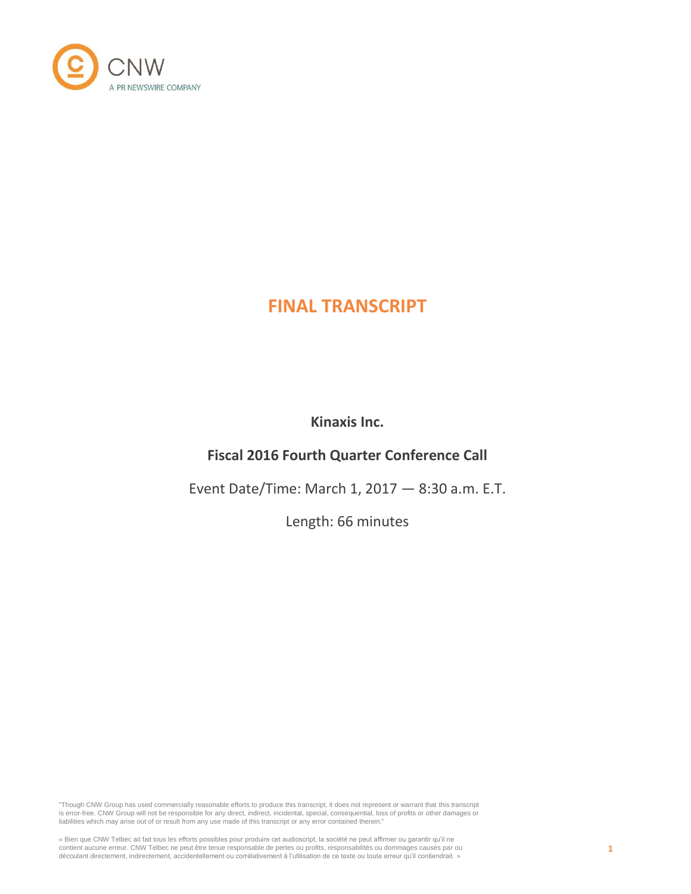

# **FINAL TRANSCRIPT**

**Kinaxis Inc.**

# **Fiscal 2016 Fourth Quarter Conference Call**

Event Date/Time: March 1, 2017 — 8:30 a.m. E.T.

Length: 66 minutes

"Though CNW Group has used commercially reasonable efforts to produce this transcript, it does not represent or warrant that this transcript is error-free. CNW Group will not be responsible for any direct, indirect, incidental, special, consequential, loss of profits or other damages or liabilities which may arise out of or result from any use made of this transcript or any error contained therein."

« Bien que CNW Telbec ait fait tous les efforts possibles pour produire cet audioscript, la société ne peut affirmer ou garantir qu'il ne<br>contient aucune erreur. CNW Telbec ne peut être tenue responsable de pertes ou profi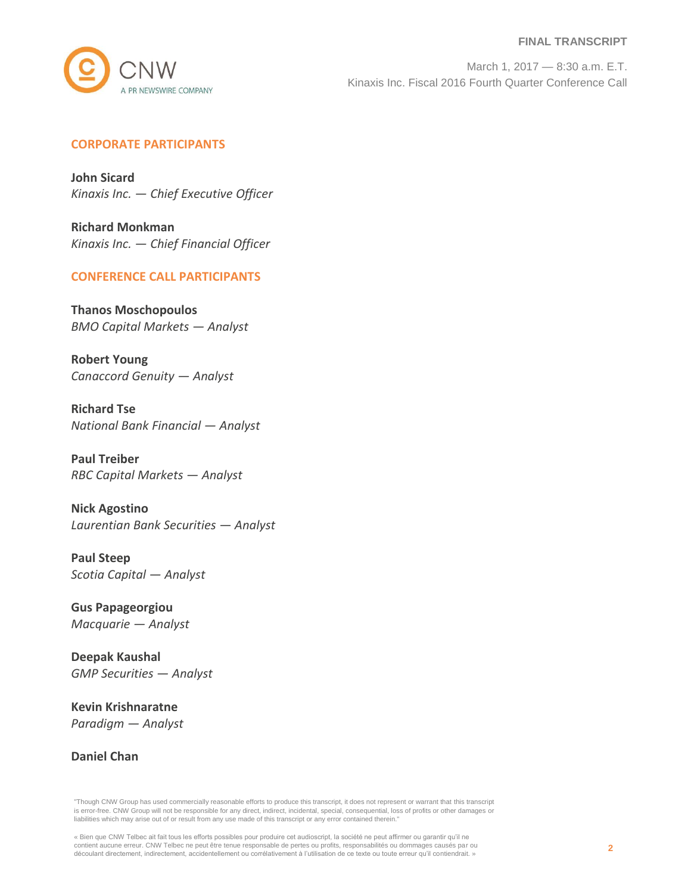#### **FINAL TRANSCRIPT**



March 1, 2017 — 8:30 a.m. E.T. Kinaxis Inc. Fiscal 2016 Fourth Quarter Conference Call

# **CORPORATE PARTICIPANTS**

**John Sicard** *Kinaxis Inc. — Chief Executive Officer*

**Richard Monkman** *Kinaxis Inc. — Chief Financial Officer*

## **CONFERENCE CALL PARTICIPANTS**

**Thanos Moschopoulos** *BMO Capital Markets — Analyst*

**Robert Young** *Canaccord Genuity — Analyst*

**Richard Tse** *National Bank Financial — Analyst*

**Paul Treiber** *RBC Capital Markets — Analyst*

**Nick Agostino** *Laurentian Bank Securities — Analyst*

**Paul Steep** *Scotia Capital — Analyst*

**Gus Papageorgiou** *Macquarie — Analyst*

**Deepak Kaushal** *GMP Securities — Analyst*

**Kevin Krishnaratne** *Paradigm — Analyst*

**Daniel Chan**

"Though CNW Group has used commercially reasonable efforts to produce this transcript, it does not represent or warrant that this transcript is error-free. CNW Group will not be responsible for any direct, indirect, incidental, special, consequential, loss of profits or other damages or liabilities which may arise out of or result from any use made of this transcript or any error contained therein."

« Bien que CNW Telbec ait fait tous les efforts possibles pour produire cet audioscript, la société ne peut affirmer ou garantir qu'il ne contient aucune erreur. CNW Telbec ne peut être tenue responsable de pertes ou profits, responsabilités ou dommages causés par ou<br>découlant directement, indirectement, accidentellement ou corrélativement à l'utilisation de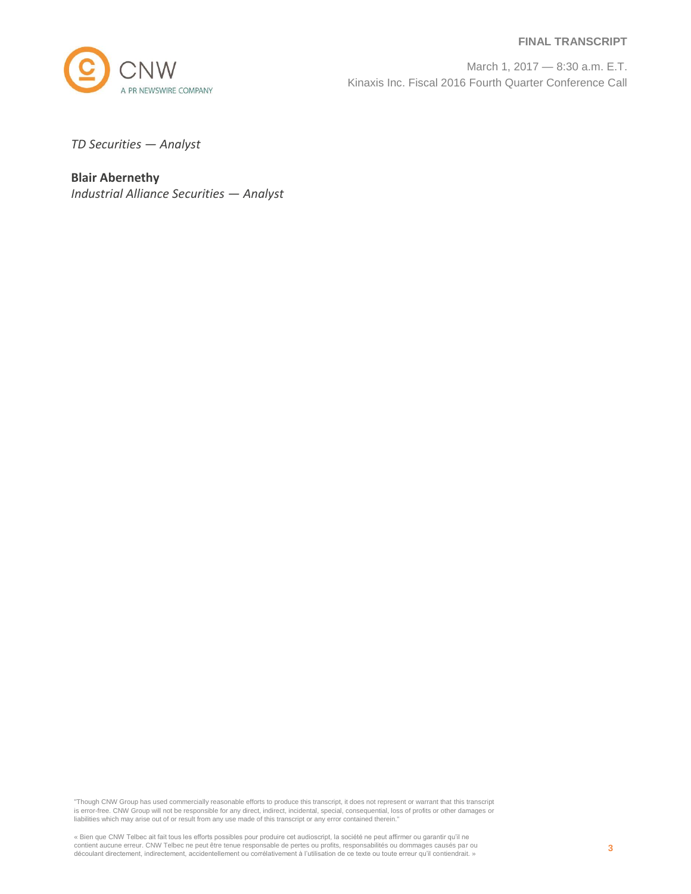#### **FINAL TRANSCRIPT**



March 1, 2017 — 8:30 a.m. E.T. Kinaxis Inc. Fiscal 2016 Fourth Quarter Conference Call

*TD Securities — Analyst*

**Blair Abernethy** *Industrial Alliance Securities — Analyst*

"Though CNW Group has used commercially reasonable efforts to produce this transcript, it does not represent or warrant that this transcript is error-free. CNW Group will not be responsible for any direct, indirect, incidental, special, consequential, loss of profits or other damages or liabilities which may arise out of or result from any use made of this transcript or any error contained therein."

« Bien que CNW Telbec ait fait tous les efforts possibles pour produire cet audioscript, la société ne peut affirmer ou garantir qu'il ne contient aucune erreur. CNW Telbec ne peut être tenue responsable de pertes ou profits, responsabilités ou dommages causés par ou<br>découlant directement, indirectement, accidentellement ou corrélativement à l'utilisation de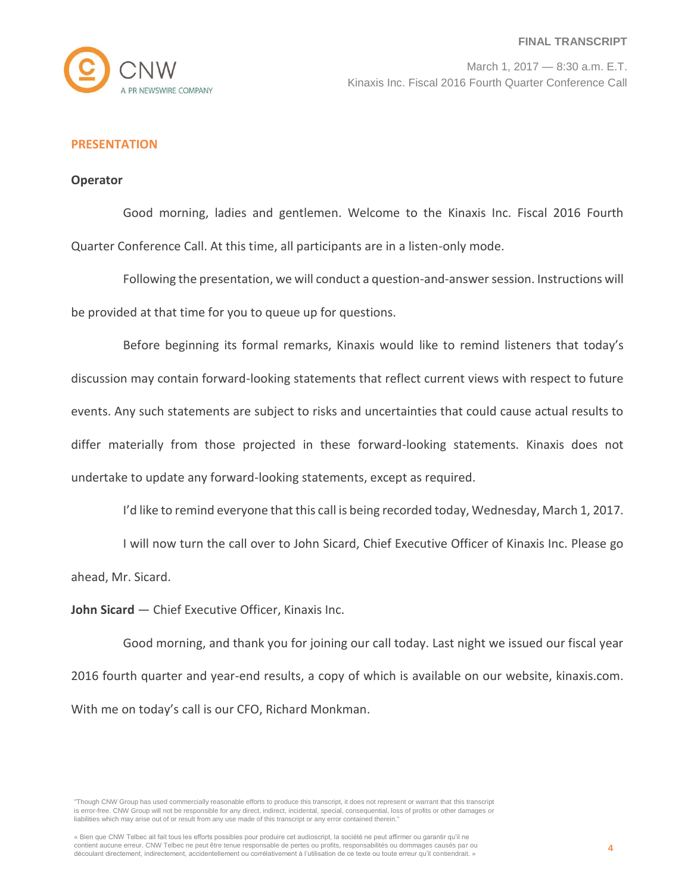

## **PRESENTATION**

#### **Operator**

Good morning, ladies and gentlemen. Welcome to the Kinaxis Inc. Fiscal 2016 Fourth Quarter Conference Call. At this time, all participants are in a listen-only mode.

Following the presentation, we will conduct a question-and-answer session. Instructions will be provided at that time for you to queue up for questions.

Before beginning its formal remarks, Kinaxis would like to remind listeners that today's discussion may contain forward-looking statements that reflect current views with respect to future events. Any such statements are subject to risks and uncertainties that could cause actual results to differ materially from those projected in these forward-looking statements. Kinaxis does not undertake to update any forward-looking statements, except as required.

I'd like to remind everyone that this call is being recorded today, Wednesday, March 1, 2017.

I will now turn the call over to John Sicard, Chief Executive Officer of Kinaxis Inc. Please go ahead, Mr. Sicard.

**John Sicard** — Chief Executive Officer, Kinaxis Inc.

Good morning, and thank you for joining our call today. Last night we issued our fiscal year 2016 fourth quarter and year-end results, a copy of which is available on our website, kinaxis.com. With me on today's call is our CFO, Richard Monkman.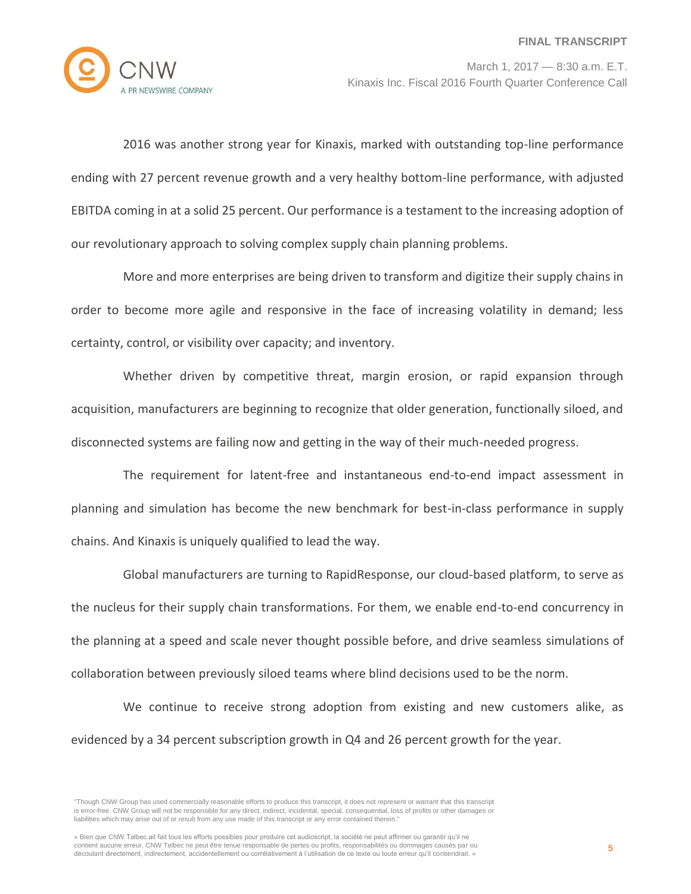

2016 was another strong year for Kinaxis, marked with outstanding top-line performance ending with 27 percent revenue growth and a very healthy bottom-line performance, with adjusted EBITDA coming in at a solid 25 percent. Our performance is a testament to the increasing adoption of our revolutionary approach to solving complex supply chain planning problems.

More and more enterprises are being driven to transform and digitize their supply chains in order to become more agile and responsive in the face of increasing volatility in demand; less certainty, control, or visibility over capacity; and inventory.

Whether driven by competitive threat, margin erosion, or rapid expansion through acquisition, manufacturers are beginning to recognize that older generation, functionally siloed, and disconnected systems are failing now and getting in the way of their much-needed progress.

The requirement for latent-free and instantaneous end-to-end impact assessment in planning and simulation has become the new benchmark for best-in-class performance in supply chains. And Kinaxis is uniquely qualified to lead the way.

Global manufacturers are turning to RapidResponse, our cloud-based platform, to serve as the nucleus for their supply chain transformations. For them, we enable end-to-end concurrency in the planning at a speed and scale never thought possible before, and drive seamless simulations of collaboration between previously siloed teams where blind decisions used to be the norm.

We continue to receive strong adoption from existing and new customers alike, as evidenced by a 34 percent subscription growth in Q4 and 26 percent growth for the year.

<sup>&</sup>quot;Though CNW Group has used commercially reasonable efforts to produce this transcript, it does not represent or warrant that this transcript is error-free. CNW Group will not be responsible for any direct, indirect, incidental, special, consequential, loss of profits or other damages or liabilities which may arise out of or result from any use made of this transcript or any error contained therein."

<sup>«</sup> Bien que CNW Telbec ait fait tous les efforts possibles pour produire cet audioscript, la société ne peut affirmer ou garantir qu'il ne contient aucune erreur. CNW Telbec ne peut être tenue responsable de pertes ou profits, responsabilités ou dommages causés par ou découlant directement, indirectement, accidentellement ou corrélativement à l'utilisation de ce texte ou toute erreur qu'il contiendrait. »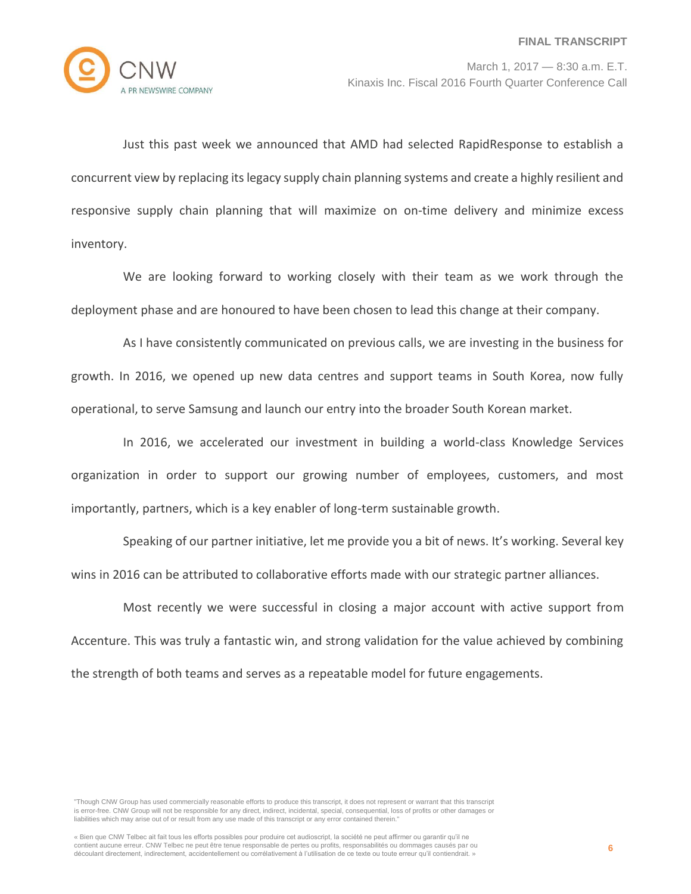

Just this past week we announced that AMD had selected RapidResponse to establish a concurrent view by replacing its legacy supply chain planning systems and create a highly resilient and responsive supply chain planning that will maximize on on-time delivery and minimize excess inventory.

We are looking forward to working closely with their team as we work through the deployment phase and are honoured to have been chosen to lead this change at their company.

As I have consistently communicated on previous calls, we are investing in the business for growth. In 2016, we opened up new data centres and support teams in South Korea, now fully operational, to serve Samsung and launch our entry into the broader South Korean market.

In 2016, we accelerated our investment in building a world-class Knowledge Services organization in order to support our growing number of employees, customers, and most importantly, partners, which is a key enabler of long-term sustainable growth.

Speaking of our partner initiative, let me provide you a bit of news. It's working. Several key wins in 2016 can be attributed to collaborative efforts made with our strategic partner alliances.

Most recently we were successful in closing a major account with active support from Accenture. This was truly a fantastic win, and strong validation for the value achieved by combining the strength of both teams and serves as a repeatable model for future engagements.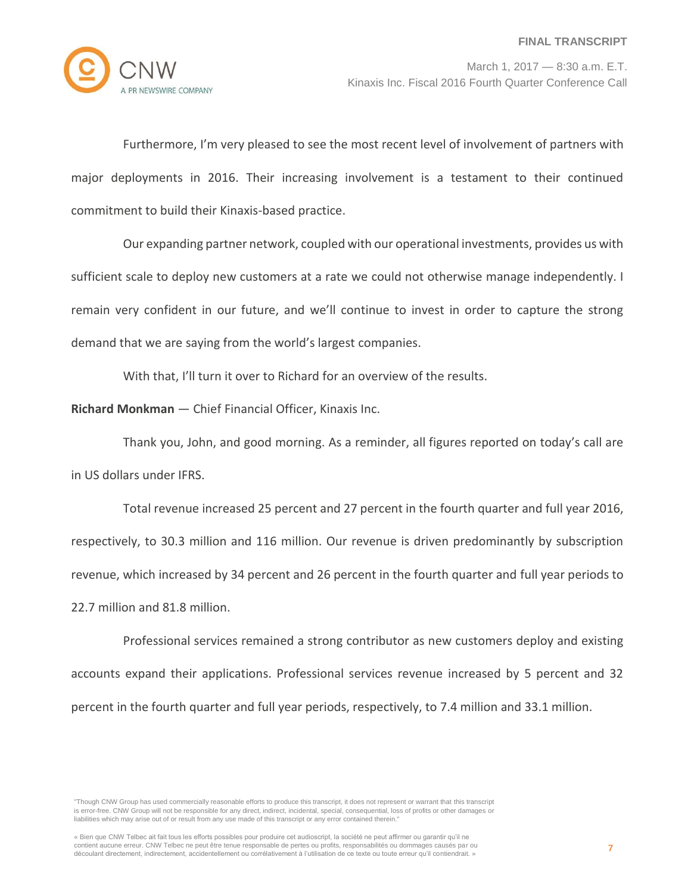

Furthermore, I'm very pleased to see the most recent level of involvement of partners with major deployments in 2016. Their increasing involvement is a testament to their continued commitment to build their Kinaxis-based practice.

Our expanding partner network, coupled with our operational investments, provides us with sufficient scale to deploy new customers at a rate we could not otherwise manage independently. I remain very confident in our future, and we'll continue to invest in order to capture the strong demand that we are saying from the world's largest companies.

With that, I'll turn it over to Richard for an overview of the results.

**Richard Monkman** — Chief Financial Officer, Kinaxis Inc.

Thank you, John, and good morning. As a reminder, all figures reported on today's call are in US dollars under IFRS.

Total revenue increased 25 percent and 27 percent in the fourth quarter and full year 2016, respectively, to 30.3 million and 116 million. Our revenue is driven predominantly by subscription revenue, which increased by 34 percent and 26 percent in the fourth quarter and full year periods to 22.7 million and 81.8 million.

Professional services remained a strong contributor as new customers deploy and existing accounts expand their applications. Professional services revenue increased by 5 percent and 32 percent in the fourth quarter and full year periods, respectively, to 7.4 million and 33.1 million.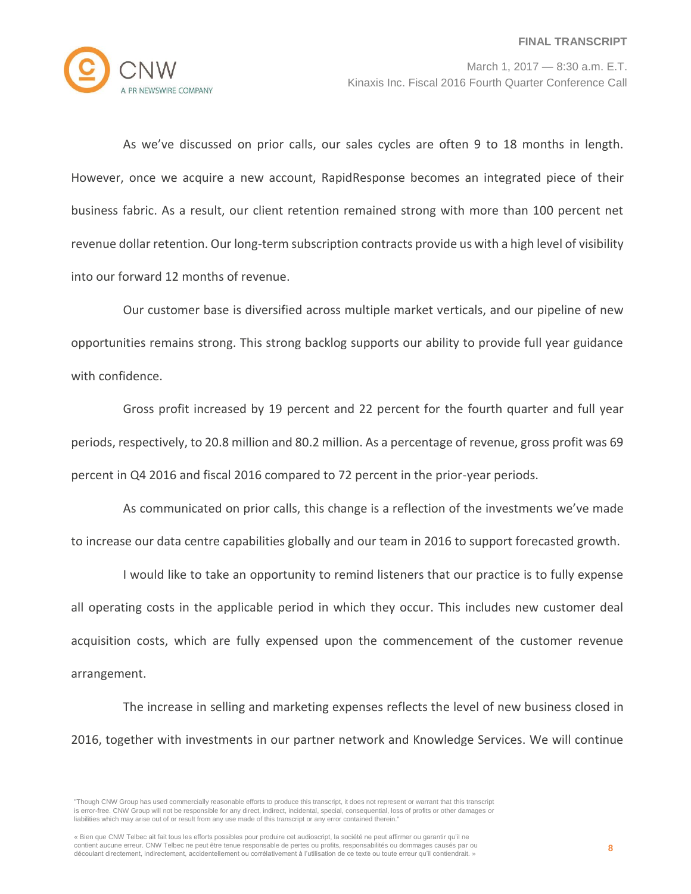

As we've discussed on prior calls, our sales cycles are often 9 to 18 months in length. However, once we acquire a new account, RapidResponse becomes an integrated piece of their business fabric. As a result, our client retention remained strong with more than 100 percent net revenue dollar retention. Our long-term subscription contracts provide us with a high level of visibility into our forward 12 months of revenue.

Our customer base is diversified across multiple market verticals, and our pipeline of new opportunities remains strong. This strong backlog supports our ability to provide full year guidance with confidence.

Gross profit increased by 19 percent and 22 percent for the fourth quarter and full year periods, respectively, to 20.8 million and 80.2 million. As a percentage of revenue, gross profit was 69 percent in Q4 2016 and fiscal 2016 compared to 72 percent in the prior-year periods.

As communicated on prior calls, this change is a reflection of the investments we've made to increase our data centre capabilities globally and our team in 2016 to support forecasted growth.

I would like to take an opportunity to remind listeners that our practice is to fully expense all operating costs in the applicable period in which they occur. This includes new customer deal acquisition costs, which are fully expensed upon the commencement of the customer revenue arrangement.

The increase in selling and marketing expenses reflects the level of new business closed in 2016, together with investments in our partner network and Knowledge Services. We will continue

<sup>&</sup>quot;Though CNW Group has used commercially reasonable efforts to produce this transcript, it does not represent or warrant that this transcript is error-free. CNW Group will not be responsible for any direct, indirect, incidental, special, consequential, loss of profits or other damages or liabilities which may arise out of or result from any use made of this transcript or any error contained therein."

<sup>«</sup> Bien que CNW Telbec ait fait tous les efforts possibles pour produire cet audioscript, la société ne peut affirmer ou garantir qu'il ne contient aucune erreur. CNW Telbec ne peut être tenue responsable de pertes ou profits, responsabilités ou dommages causés par ou découlant directement, indirectement, accidentellement ou corrélativement à l'utilisation de ce texte ou toute erreur qu'il contiendrait. »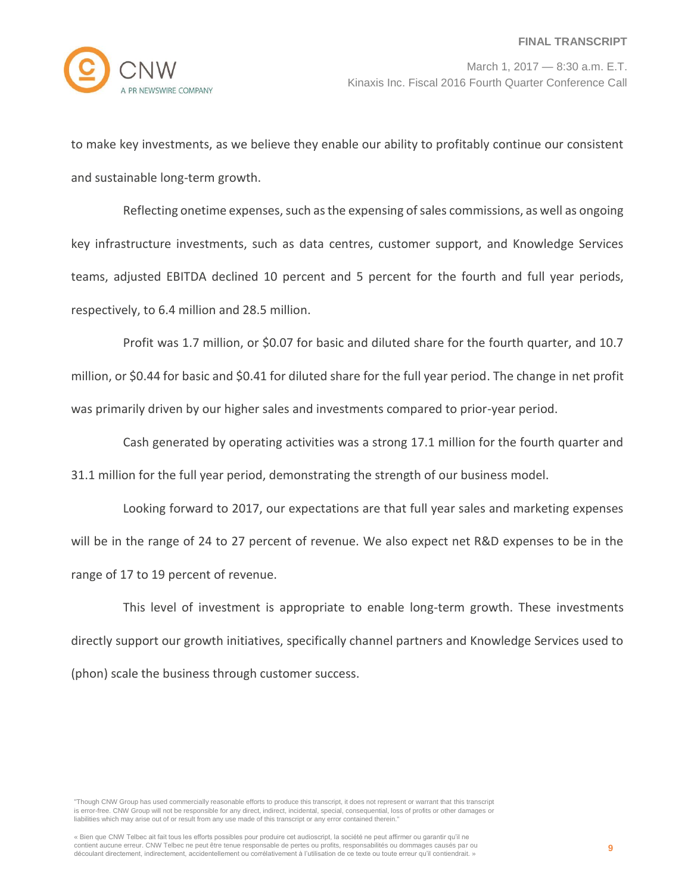

to make key investments, as we believe they enable our ability to profitably continue our consistent and sustainable long-term growth.

Reflecting onetime expenses, such as the expensing of sales commissions, as well as ongoing key infrastructure investments, such as data centres, customer support, and Knowledge Services teams, adjusted EBITDA declined 10 percent and 5 percent for the fourth and full year periods, respectively, to 6.4 million and 28.5 million.

Profit was 1.7 million, or \$0.07 for basic and diluted share for the fourth quarter, and 10.7 million, or \$0.44 for basic and \$0.41 for diluted share for the full year period. The change in net profit was primarily driven by our higher sales and investments compared to prior-year period.

Cash generated by operating activities was a strong 17.1 million for the fourth quarter and 31.1 million for the full year period, demonstrating the strength of our business model.

Looking forward to 2017, our expectations are that full year sales and marketing expenses will be in the range of 24 to 27 percent of revenue. We also expect net R&D expenses to be in the range of 17 to 19 percent of revenue.

This level of investment is appropriate to enable long-term growth. These investments directly support our growth initiatives, specifically channel partners and Knowledge Services used to (phon) scale the business through customer success.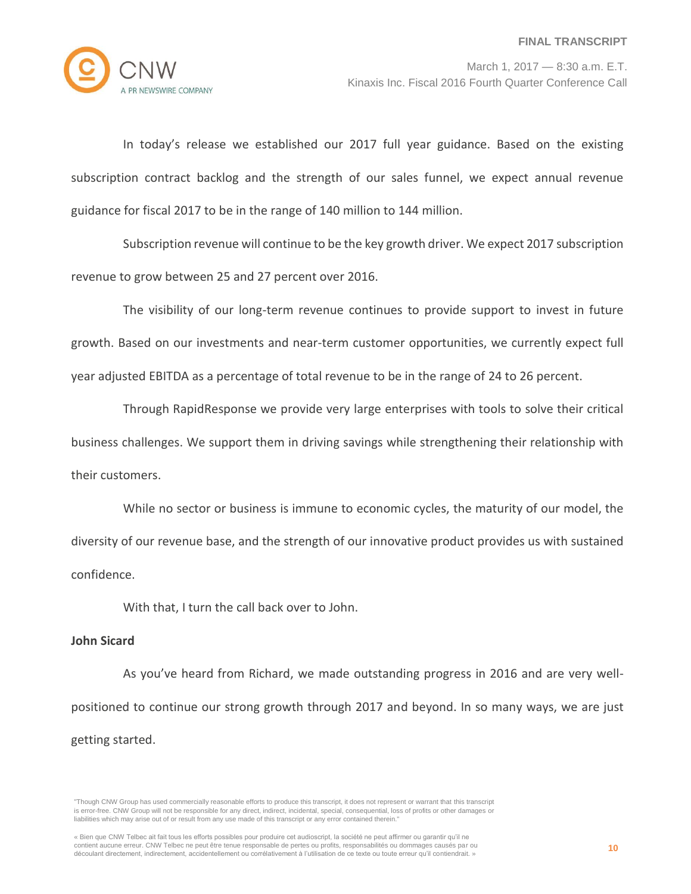

In today's release we established our 2017 full year guidance. Based on the existing subscription contract backlog and the strength of our sales funnel, we expect annual revenue guidance for fiscal 2017 to be in the range of 140 million to 144 million.

Subscription revenue will continue to be the key growth driver. We expect 2017 subscription revenue to grow between 25 and 27 percent over 2016.

The visibility of our long-term revenue continues to provide support to invest in future growth. Based on our investments and near-term customer opportunities, we currently expect full year adjusted EBITDA as a percentage of total revenue to be in the range of 24 to 26 percent.

Through RapidResponse we provide very large enterprises with tools to solve their critical business challenges. We support them in driving savings while strengthening their relationship with their customers.

While no sector or business is immune to economic cycles, the maturity of our model, the diversity of our revenue base, and the strength of our innovative product provides us with sustained confidence.

With that, I turn the call back over to John.

# **John Sicard**

As you've heard from Richard, we made outstanding progress in 2016 and are very wellpositioned to continue our strong growth through 2017 and beyond. In so many ways, we are just getting started.

<sup>&</sup>quot;Though CNW Group has used commercially reasonable efforts to produce this transcript, it does not represent or warrant that this transcript is error-free. CNW Group will not be responsible for any direct, indirect, incidental, special, consequential, loss of profits or other damages or liabilities which may arise out of or result from any use made of this transcript or any error contained therein."

<sup>«</sup> Bien que CNW Telbec ait fait tous les efforts possibles pour produire cet audioscript, la société ne peut affirmer ou garantir qu'il ne contient aucune erreur. CNW Telbec ne peut être tenue responsable de pertes ou profits, responsabilités ou dommages causés par ou découlant directement, indirectement, accidentellement ou corrélativement à l'utilisation de ce texte ou toute erreur qu'il contiendrait. »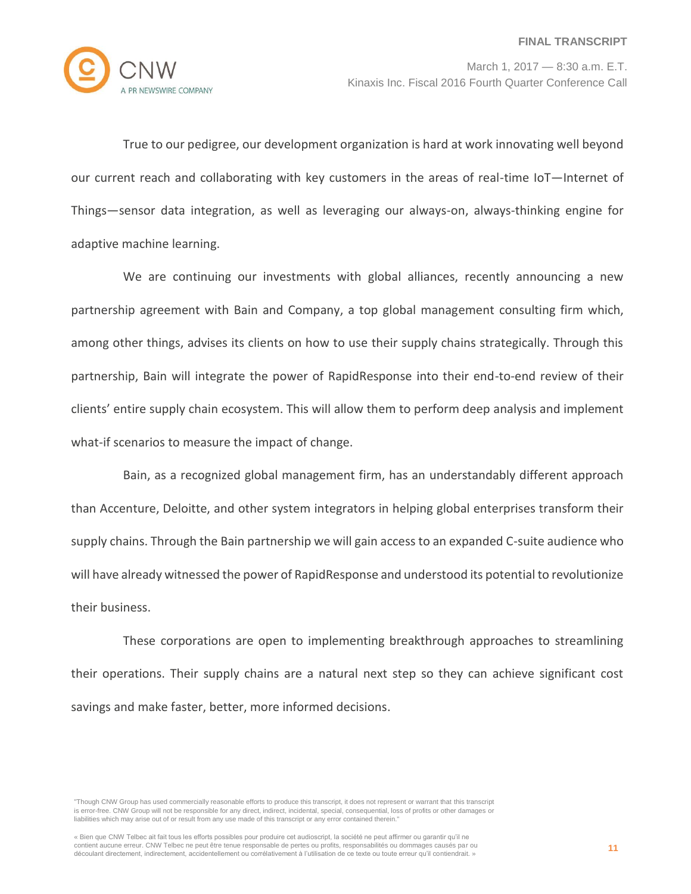

True to our pedigree, our development organization is hard at work innovating well beyond our current reach and collaborating with key customers in the areas of real-time IoT—Internet of Things—sensor data integration, as well as leveraging our always-on, always-thinking engine for adaptive machine learning.

We are continuing our investments with global alliances, recently announcing a new partnership agreement with Bain and Company, a top global management consulting firm which, among other things, advises its clients on how to use their supply chains strategically. Through this partnership, Bain will integrate the power of RapidResponse into their end-to-end review of their clients' entire supply chain ecosystem. This will allow them to perform deep analysis and implement what-if scenarios to measure the impact of change.

Bain, as a recognized global management firm, has an understandably different approach than Accenture, Deloitte, and other system integrators in helping global enterprises transform their supply chains. Through the Bain partnership we will gain access to an expanded C-suite audience who will have already witnessed the power of RapidResponse and understood its potential to revolutionize their business.

These corporations are open to implementing breakthrough approaches to streamlining their operations. Their supply chains are a natural next step so they can achieve significant cost savings and make faster, better, more informed decisions.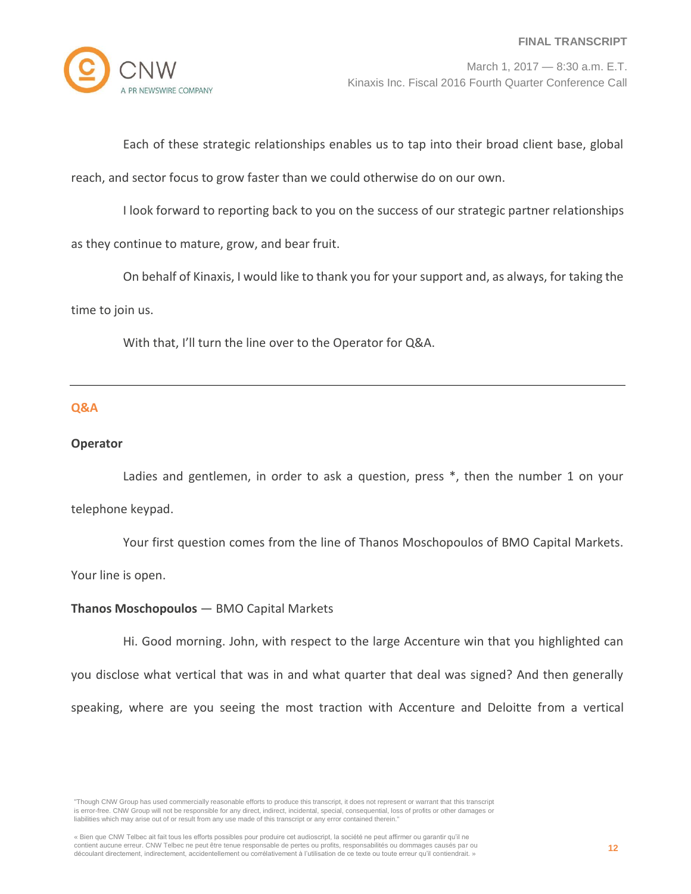Each of these strategic relationships enables us to tap into their broad client base, global

reach, and sector focus to grow faster than we could otherwise do on our own.

I look forward to reporting back to you on the success of our strategic partner relationships

as they continue to mature, grow, and bear fruit.

On behalf of Kinaxis, I would like to thank you for your support and, as always, for taking the time to join us.

With that, I'll turn the line over to the Operator for Q&A.

## **Q&A**

#### **Operator**

Ladies and gentlemen, in order to ask a question, press \*, then the number 1 on your telephone keypad.

Your first question comes from the line of Thanos Moschopoulos of BMO Capital Markets.

Your line is open.

## **Thanos Moschopoulos** — BMO Capital Markets

Hi. Good morning. John, with respect to the large Accenture win that you highlighted can you disclose what vertical that was in and what quarter that deal was signed? And then generally speaking, where are you seeing the most traction with Accenture and Deloitte from a vertical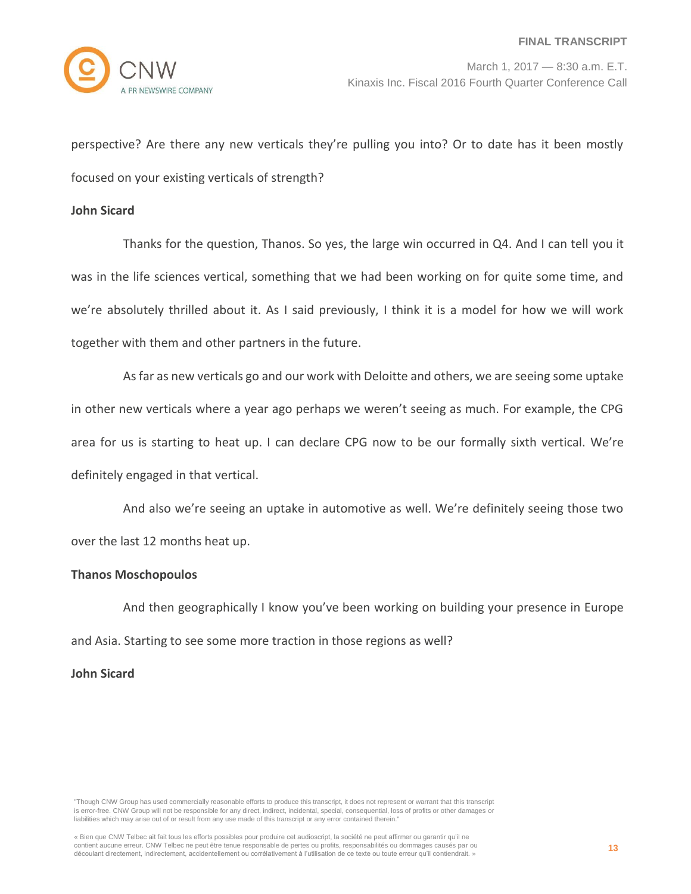perspective? Are there any new verticals they're pulling you into? Or to date has it been mostly focused on your existing verticals of strength?

#### **John Sicard**

Thanks for the question, Thanos. So yes, the large win occurred in Q4. And I can tell you it was in the life sciences vertical, something that we had been working on for quite some time, and we're absolutely thrilled about it. As I said previously, I think it is a model for how we will work together with them and other partners in the future.

As far as new verticals go and our work with Deloitte and others, we are seeing some uptake in other new verticals where a year ago perhaps we weren't seeing as much. For example, the CPG area for us is starting to heat up. I can declare CPG now to be our formally sixth vertical. We're definitely engaged in that vertical.

And also we're seeing an uptake in automotive as well. We're definitely seeing those two over the last 12 months heat up.

## **Thanos Moschopoulos**

And then geographically I know you've been working on building your presence in Europe and Asia. Starting to see some more traction in those regions as well?

# **John Sicard**

"Though CNW Group has used commercially reasonable efforts to produce this transcript, it does not represent or warrant that this transcript is error-free. CNW Group will not be responsible for any direct, indirect, incidental, special, consequential, loss of profits or other damages or liabilities which may arise out of or result from any use made of this transcript or any error contained therein."

« Bien que CNW Telbec ait fait tous les efforts possibles pour produire cet audioscript, la société ne peut affirmer ou garantir qu'il ne contient aucune erreur. CNW Telbec ne peut être tenue responsable de pertes ou profits, responsabilités ou dommages causés par ou découlant directement, indirectement, accidentellement ou corrélativement à l'utilisation de ce texte ou toute erreur qu'il contiendrait. »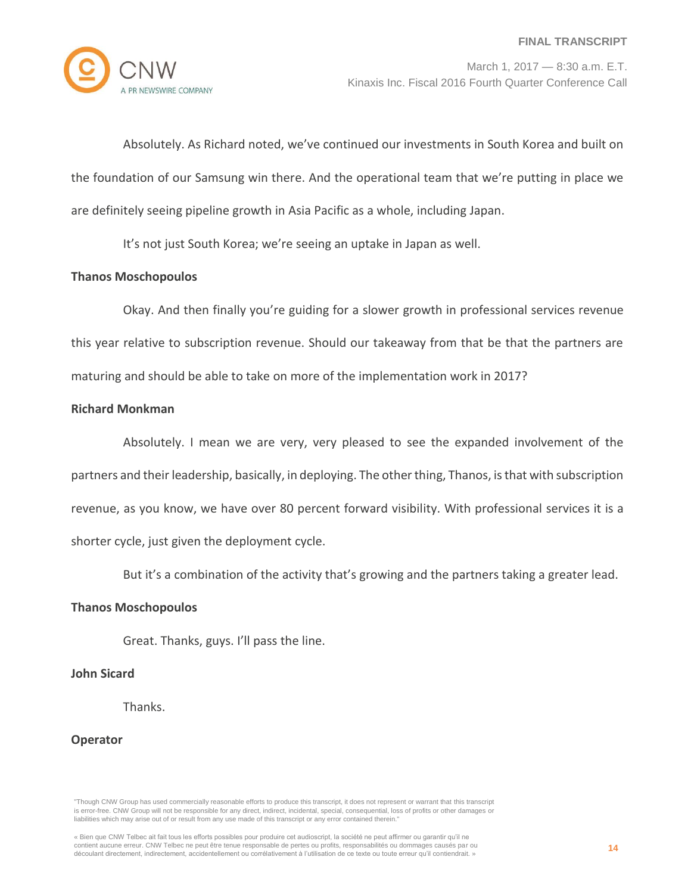

Absolutely. As Richard noted, we've continued our investments in South Korea and built on the foundation of our Samsung win there. And the operational team that we're putting in place we are definitely seeing pipeline growth in Asia Pacific as a whole, including Japan.

It's not just South Korea; we're seeing an uptake in Japan as well.

# **Thanos Moschopoulos**

Okay. And then finally you're guiding for a slower growth in professional services revenue this year relative to subscription revenue. Should our takeaway from that be that the partners are maturing and should be able to take on more of the implementation work in 2017?

# **Richard Monkman**

Absolutely. I mean we are very, very pleased to see the expanded involvement of the partners and their leadership, basically, in deploying. The other thing, Thanos, is that with subscription revenue, as you know, we have over 80 percent forward visibility. With professional services it is a shorter cycle, just given the deployment cycle.

But it's a combination of the activity that's growing and the partners taking a greater lead.

# **Thanos Moschopoulos**

Great. Thanks, guys. I'll pass the line.

# **John Sicard**

Thanks.

## **Operator**

<sup>«</sup> Bien que CNW Telbec ait fait tous les efforts possibles pour produire cet audioscript, la société ne peut affirmer ou garantir qu'il ne contient aucune erreur. CNW Telbec ne peut être tenue responsable de pertes ou profits, responsabilités ou dommages causés par ou découlant directement, indirectement, accidentellement ou corrélativement à l'utilisation de ce texte ou toute erreur qu'il contiendrait. »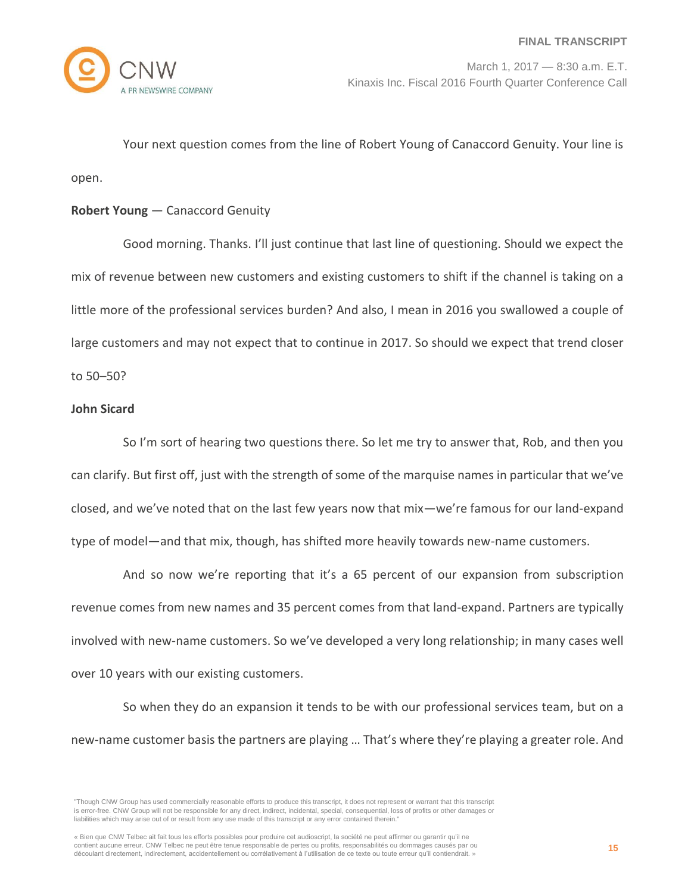

Your next question comes from the line of Robert Young of Canaccord Genuity. Your line is open.

## **Robert Young** — Canaccord Genuity

Good morning. Thanks. I'll just continue that last line of questioning. Should we expect the mix of revenue between new customers and existing customers to shift if the channel is taking on a little more of the professional services burden? And also, I mean in 2016 you swallowed a couple of large customers and may not expect that to continue in 2017. So should we expect that trend closer to 50–50?

## **John Sicard**

So I'm sort of hearing two questions there. So let me try to answer that, Rob, and then you can clarify. But first off, just with the strength of some of the marquise names in particular that we've closed, and we've noted that on the last few years now that mix—we're famous for our land-expand type of model—and that mix, though, has shifted more heavily towards new-name customers.

And so now we're reporting that it's a 65 percent of our expansion from subscription revenue comes from new names and 35 percent comes from that land-expand. Partners are typically involved with new-name customers. So we've developed a very long relationship; in many cases well over 10 years with our existing customers.

So when they do an expansion it tends to be with our professional services team, but on a new-name customer basis the partners are playing … That's where they're playing a greater role. And

<sup>&</sup>quot;Though CNW Group has used commercially reasonable efforts to produce this transcript, it does not represent or warrant that this transcript is error-free. CNW Group will not be responsible for any direct, indirect, incidental, special, consequential, loss of profits or other damages or liabilities which may arise out of or result from any use made of this transcript or any error contained therein."

<sup>«</sup> Bien que CNW Telbec ait fait tous les efforts possibles pour produire cet audioscript, la société ne peut affirmer ou garantir qu'il ne contient aucune erreur. CNW Telbec ne peut être tenue responsable de pertes ou profits, responsabilités ou dommages causés par ou découlant directement, indirectement, accidentellement ou corrélativement à l'utilisation de ce texte ou toute erreur qu'il contiendrait. »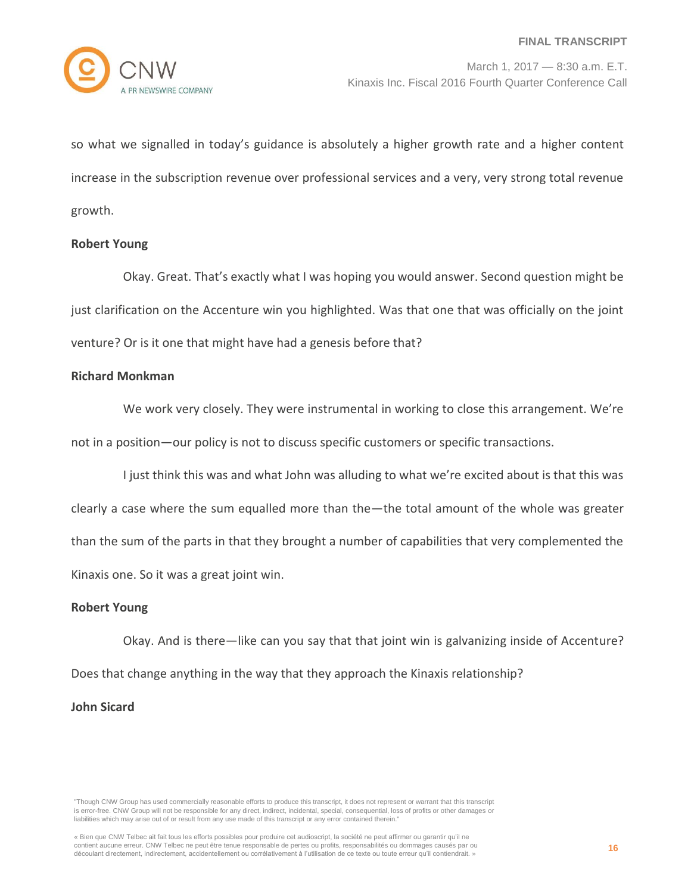

so what we signalled in today's guidance is absolutely a higher growth rate and a higher content increase in the subscription revenue over professional services and a very, very strong total revenue growth.

## **Robert Young**

Okay. Great. That's exactly what I was hoping you would answer. Second question might be just clarification on the Accenture win you highlighted. Was that one that was officially on the joint venture? Or is it one that might have had a genesis before that?

#### **Richard Monkman**

We work very closely. They were instrumental in working to close this arrangement. We're not in a position—our policy is not to discuss specific customers or specific transactions.

I just think this was and what John was alluding to what we're excited about is that this was clearly a case where the sum equalled more than the—the total amount of the whole was greater than the sum of the parts in that they brought a number of capabilities that very complemented the Kinaxis one. So it was a great joint win.

# **Robert Young**

Okay. And is there—like can you say that that joint win is galvanizing inside of Accenture? Does that change anything in the way that they approach the Kinaxis relationship?

## **John Sicard**

<sup>«</sup> Bien que CNW Telbec ait fait tous les efforts possibles pour produire cet audioscript, la société ne peut affirmer ou garantir qu'il ne contient aucune erreur. CNW Telbec ne peut être tenue responsable de pertes ou profits, responsabilités ou dommages causés par ou découlant directement, indirectement, accidentellement ou corrélativement à l'utilisation de ce texte ou toute erreur qu'il contiendrait. »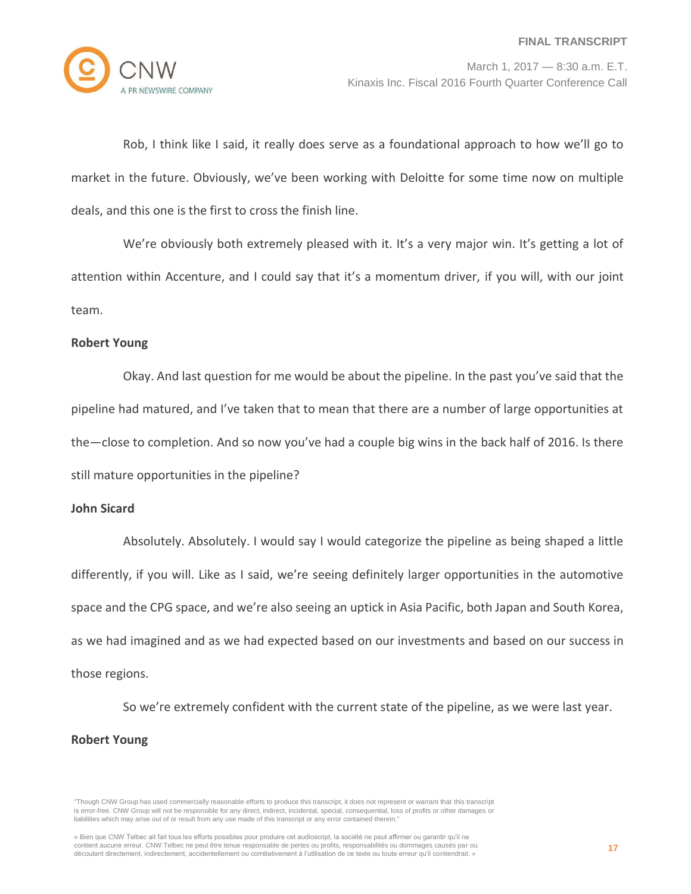

Rob, I think like I said, it really does serve as a foundational approach to how we'll go to market in the future. Obviously, we've been working with Deloitte for some time now on multiple deals, and this one is the first to cross the finish line.

We're obviously both extremely pleased with it. It's a very major win. It's getting a lot of attention within Accenture, and I could say that it's a momentum driver, if you will, with our joint team.

#### **Robert Young**

Okay. And last question for me would be about the pipeline. In the past you've said that the pipeline had matured, and I've taken that to mean that there are a number of large opportunities at the—close to completion. And so now you've had a couple big wins in the back half of 2016. Is there still mature opportunities in the pipeline?

#### **John Sicard**

Absolutely. Absolutely. I would say I would categorize the pipeline as being shaped a little differently, if you will. Like as I said, we're seeing definitely larger opportunities in the automotive space and the CPG space, and we're also seeing an uptick in Asia Pacific, both Japan and South Korea, as we had imagined and as we had expected based on our investments and based on our success in those regions.

So we're extremely confident with the current state of the pipeline, as we were last year. **Robert Young**

<sup>&</sup>quot;Though CNW Group has used commercially reasonable efforts to produce this transcript, it does not represent or warrant that this transcript is error-free. CNW Group will not be responsible for any direct, indirect, incidental, special, consequential, loss of profits or other damages or liabilities which may arise out of or result from any use made of this transcript or any error contained therein."

<sup>«</sup> Bien que CNW Telbec ait fait tous les efforts possibles pour produire cet audioscript, la société ne peut affirmer ou garantir qu'il ne contient aucune erreur. CNW Telbec ne peut être tenue responsable de pertes ou profits, responsabilités ou dommages causés par ou découlant directement, indirectement, accidentellement ou corrélativement à l'utilisation de ce texte ou toute erreur qu'il contiendrait. »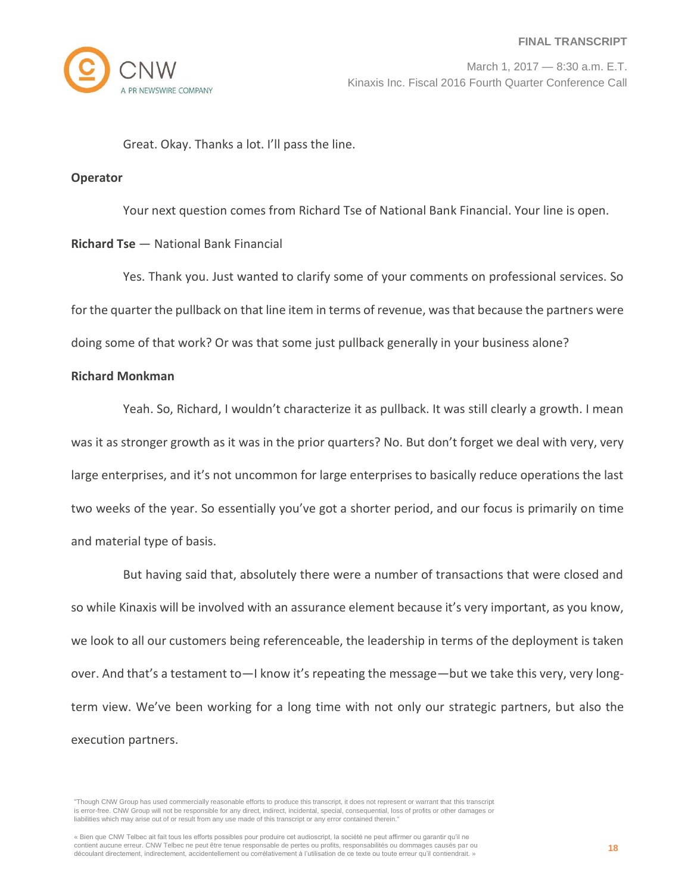Great. Okay. Thanks a lot. I'll pass the line.

#### **Operator**

Your next question comes from Richard Tse of National Bank Financial. Your line is open.

## **Richard Tse** — National Bank Financial

Yes. Thank you. Just wanted to clarify some of your comments on professional services. So for the quarter the pullback on that line item in terms of revenue, was that because the partners were doing some of that work? Or was that some just pullback generally in your business alone?

## **Richard Monkman**

Yeah. So, Richard, I wouldn't characterize it as pullback. It was still clearly a growth. I mean was it as stronger growth as it was in the prior quarters? No. But don't forget we deal with very, very large enterprises, and it's not uncommon for large enterprises to basically reduce operations the last two weeks of the year. So essentially you've got a shorter period, and our focus is primarily on time and material type of basis.

But having said that, absolutely there were a number of transactions that were closed and so while Kinaxis will be involved with an assurance element because it's very important, as you know, we look to all our customers being referenceable, the leadership in terms of the deployment is taken over. And that's a testament to—I know it's repeating the message—but we take this very, very longterm view. We've been working for a long time with not only our strategic partners, but also the execution partners.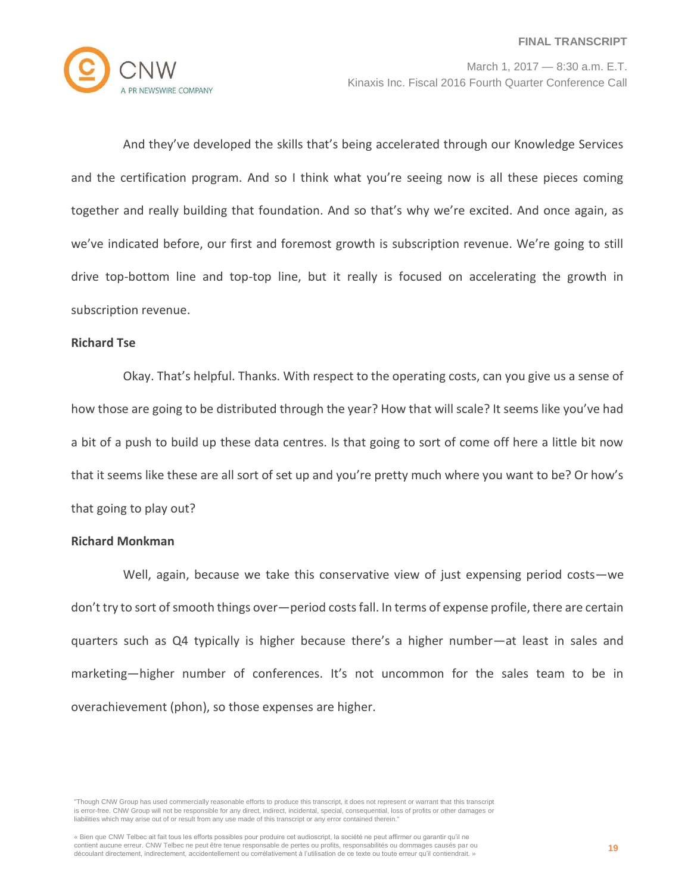

And they've developed the skills that's being accelerated through our Knowledge Services and the certification program. And so I think what you're seeing now is all these pieces coming together and really building that foundation. And so that's why we're excited. And once again, as we've indicated before, our first and foremost growth is subscription revenue. We're going to still drive top-bottom line and top-top line, but it really is focused on accelerating the growth in subscription revenue.

#### **Richard Tse**

Okay. That's helpful. Thanks. With respect to the operating costs, can you give us a sense of how those are going to be distributed through the year? How that will scale? It seems like you've had a bit of a push to build up these data centres. Is that going to sort of come off here a little bit now that it seems like these are all sort of set up and you're pretty much where you want to be? Or how's that going to play out?

# **Richard Monkman**

Well, again, because we take this conservative view of just expensing period costs—we don't try to sort of smooth things over—period costs fall. In terms of expense profile, there are certain quarters such as Q4 typically is higher because there's a higher number—at least in sales and marketing—higher number of conferences. It's not uncommon for the sales team to be in overachievement (phon), so those expenses are higher.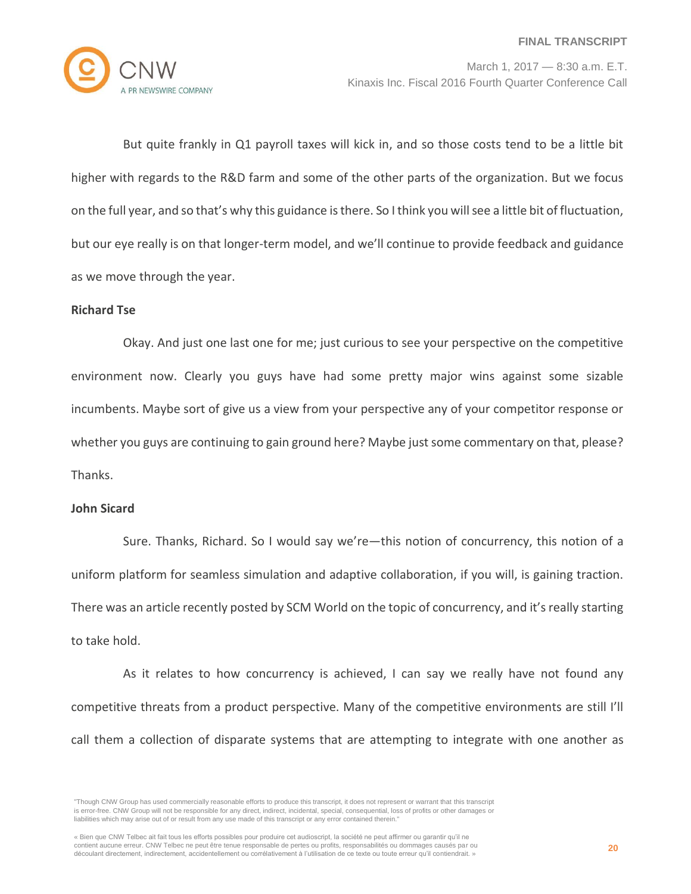

But quite frankly in Q1 payroll taxes will kick in, and so those costs tend to be a little bit higher with regards to the R&D farm and some of the other parts of the organization. But we focus on the full year, and so that's why this guidance is there. So I think you will see a little bit of fluctuation, but our eye really is on that longer-term model, and we'll continue to provide feedback and guidance as we move through the year.

## **Richard Tse**

Okay. And just one last one for me; just curious to see your perspective on the competitive environment now. Clearly you guys have had some pretty major wins against some sizable incumbents. Maybe sort of give us a view from your perspective any of your competitor response or whether you guys are continuing to gain ground here? Maybe just some commentary on that, please? Thanks.

#### **John Sicard**

Sure. Thanks, Richard. So I would say we're—this notion of concurrency, this notion of a uniform platform for seamless simulation and adaptive collaboration, if you will, is gaining traction. There was an article recently posted by SCM World on the topic of concurrency, and it's really starting to take hold.

As it relates to how concurrency is achieved, I can say we really have not found any competitive threats from a product perspective. Many of the competitive environments are still I'll call them a collection of disparate systems that are attempting to integrate with one another as

<sup>&</sup>quot;Though CNW Group has used commercially reasonable efforts to produce this transcript, it does not represent or warrant that this transcript is error-free. CNW Group will not be responsible for any direct, indirect, incidental, special, consequential, loss of profits or other damages or liabilities which may arise out of or result from any use made of this transcript or any error contained therein."

<sup>«</sup> Bien que CNW Telbec ait fait tous les efforts possibles pour produire cet audioscript, la société ne peut affirmer ou garantir qu'il ne contient aucune erreur. CNW Telbec ne peut être tenue responsable de pertes ou profits, responsabilités ou dommages causés par ou découlant directement, indirectement, accidentellement ou corrélativement à l'utilisation de ce texte ou toute erreur qu'il contiendrait. »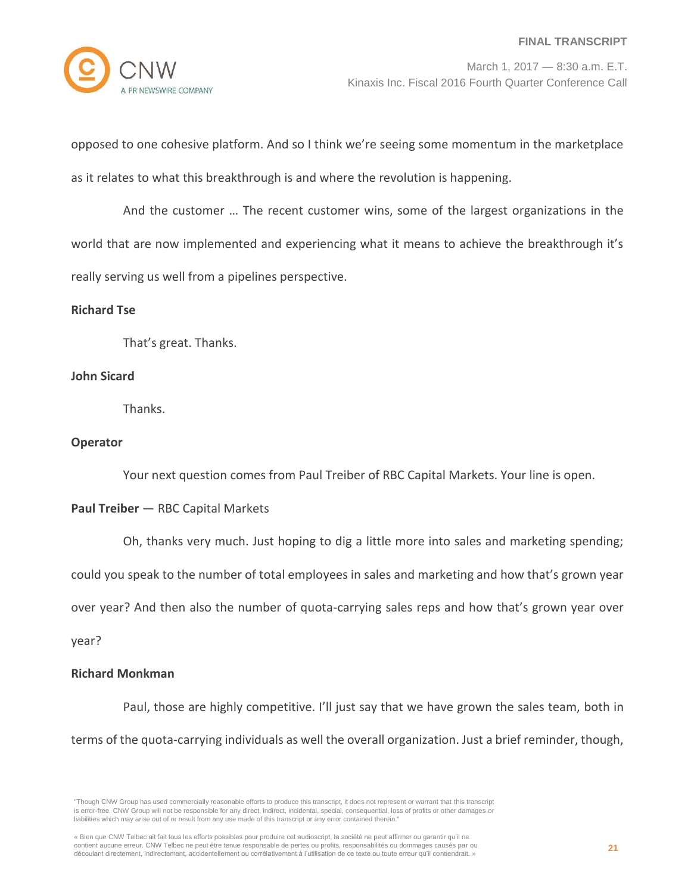

opposed to one cohesive platform. And so I think we're seeing some momentum in the marketplace as it relates to what this breakthrough is and where the revolution is happening.

And the customer … The recent customer wins, some of the largest organizations in the world that are now implemented and experiencing what it means to achieve the breakthrough it's really serving us well from a pipelines perspective.

# **Richard Tse**

That's great. Thanks.

## **John Sicard**

Thanks.

# **Operator**

Your next question comes from Paul Treiber of RBC Capital Markets. Your line is open.

# **Paul Treiber** — RBC Capital Markets

Oh, thanks very much. Just hoping to dig a little more into sales and marketing spending;

could you speak to the number of total employees in sales and marketing and how that's grown year

over year? And then also the number of quota-carrying sales reps and how that's grown year over

year?

## **Richard Monkman**

Paul, those are highly competitive. I'll just say that we have grown the sales team, both in terms of the quota-carrying individuals as well the overall organization. Just a brief reminder, though,

<sup>&</sup>quot;Though CNW Group has used commercially reasonable efforts to produce this transcript, it does not represent or warrant that this transcript is error-free. CNW Group will not be responsible for any direct, indirect, incidental, special, consequential, loss of profits or other damages or liabilities which may arise out of or result from any use made of this transcript or any error contained therein."

<sup>«</sup> Bien que CNW Telbec ait fait tous les efforts possibles pour produire cet audioscript, la société ne peut affirmer ou garantir qu'il ne contient aucune erreur. CNW Telbec ne peut être tenue responsable de pertes ou profits, responsabilités ou dommages causés par ou découlant directement, indirectement, accidentellement ou corrélativement à l'utilisation de ce texte ou toute erreur qu'il contiendrait. »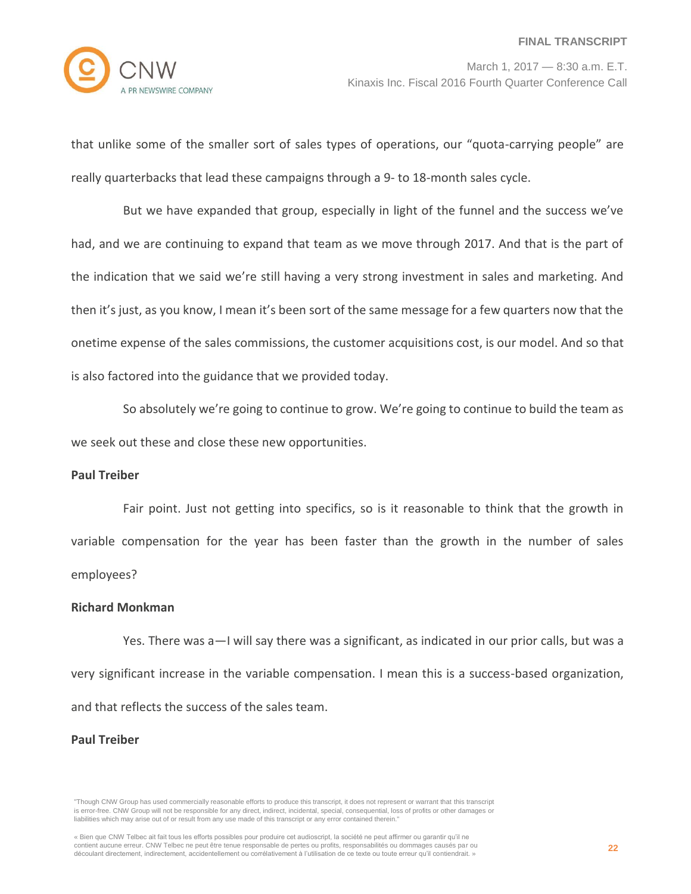that unlike some of the smaller sort of sales types of operations, our "quota-carrying people" are really quarterbacks that lead these campaigns through a 9- to 18-month sales cycle.

But we have expanded that group, especially in light of the funnel and the success we've had, and we are continuing to expand that team as we move through 2017. And that is the part of the indication that we said we're still having a very strong investment in sales and marketing. And then it's just, as you know, I mean it's been sort of the same message for a few quarters now that the onetime expense of the sales commissions, the customer acquisitions cost, is our model. And so that is also factored into the guidance that we provided today.

So absolutely we're going to continue to grow. We're going to continue to build the team as we seek out these and close these new opportunities.

#### **Paul Treiber**

Fair point. Just not getting into specifics, so is it reasonable to think that the growth in variable compensation for the year has been faster than the growth in the number of sales employees?

#### **Richard Monkman**

Yes. There was a—I will say there was a significant, as indicated in our prior calls, but was a very significant increase in the variable compensation. I mean this is a success-based organization, and that reflects the success of the sales team.

#### **Paul Treiber**

<sup>&</sup>quot;Though CNW Group has used commercially reasonable efforts to produce this transcript, it does not represent or warrant that this transcript is error-free. CNW Group will not be responsible for any direct, indirect, incidental, special, consequential, loss of profits or other damages or liabilities which may arise out of or result from any use made of this transcript or any error contained therein."

<sup>«</sup> Bien que CNW Telbec ait fait tous les efforts possibles pour produire cet audioscript, la société ne peut affirmer ou garantir qu'il ne contient aucune erreur. CNW Telbec ne peut être tenue responsable de pertes ou profits, responsabilités ou dommages causés par ou découlant directement, indirectement, accidentellement ou corrélativement à l'utilisation de ce texte ou toute erreur qu'il contiendrait. »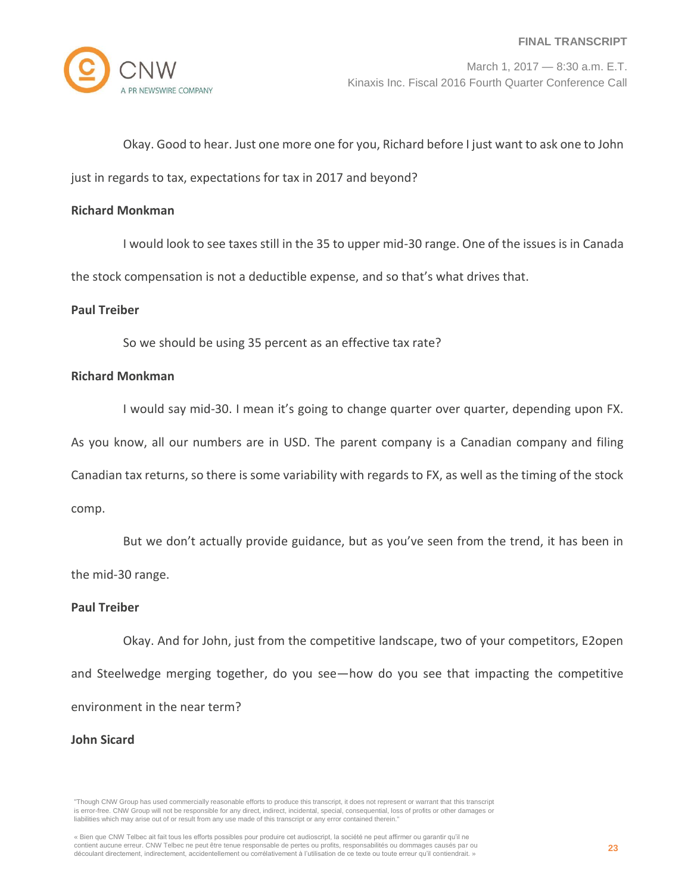Okay. Good to hear. Just one more one for you, Richard before I just want to ask one to John

just in regards to tax, expectations for tax in 2017 and beyond?

#### **Richard Monkman**

I would look to see taxes still in the 35 to upper mid-30 range. One of the issues is in Canada

the stock compensation is not a deductible expense, and so that's what drives that.

#### **Paul Treiber**

So we should be using 35 percent as an effective tax rate?

# **Richard Monkman**

I would say mid-30. I mean it's going to change quarter over quarter, depending upon FX.

As you know, all our numbers are in USD. The parent company is a Canadian company and filing

Canadian tax returns, so there is some variability with regards to FX, as well as the timing of the stock

comp.

But we don't actually provide guidance, but as you've seen from the trend, it has been in the mid-30 range.

#### **Paul Treiber**

Okay. And for John, just from the competitive landscape, two of your competitors, E2open and Steelwedge merging together, do you see—how do you see that impacting the competitive environment in the near term?

#### **John Sicard**

<sup>«</sup> Bien que CNW Telbec ait fait tous les efforts possibles pour produire cet audioscript, la société ne peut affirmer ou garantir qu'il ne contient aucune erreur. CNW Telbec ne peut être tenue responsable de pertes ou profits, responsabilités ou dommages causés par ou découlant directement, indirectement, accidentellement ou corrélativement à l'utilisation de ce texte ou toute erreur qu'il contiendrait. »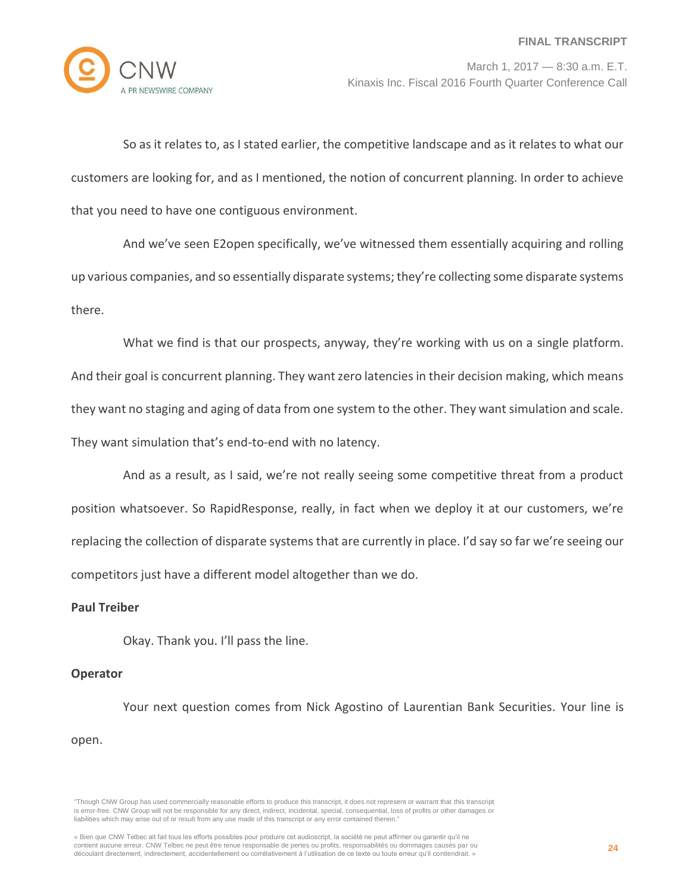

So as it relates to, as I stated earlier, the competitive landscape and as it relates to what our customers are looking for, and as I mentioned, the notion of concurrent planning. In order to achieve that you need to have one contiguous environment.

And we've seen E2open specifically, we've witnessed them essentially acquiring and rolling up various companies, and so essentially disparate systems; they're collecting some disparate systems there.

What we find is that our prospects, anyway, they're working with us on a single platform. And their goal is concurrent planning. They want zero latencies in their decision making, which means they want no staging and aging of data from one system to the other. They want simulation and scale. They want simulation that's end-to-end with no latency.

And as a result, as I said, we're not really seeing some competitive threat from a product position whatsoever. So RapidResponse, really, in fact when we deploy it at our customers, we're replacing the collection of disparate systems that are currently in place. I'd say so far we're seeing our competitors just have a different model altogether than we do.

## **Paul Treiber**

Okay. Thank you. I'll pass the line.

## **Operator**

Your next question comes from Nick Agostino of Laurentian Bank Securities. Your line is open.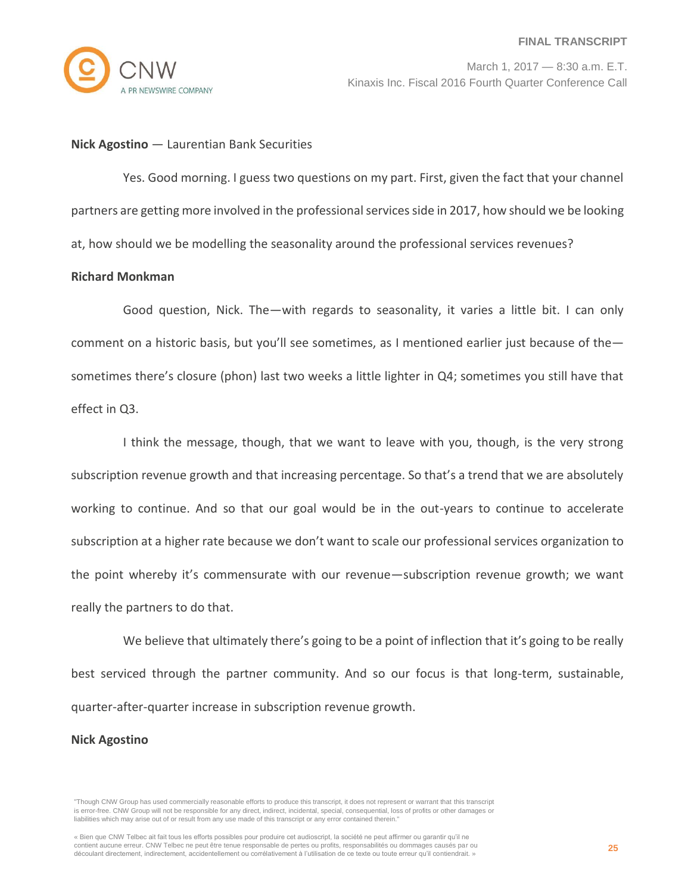

#### **Nick Agostino** — Laurentian Bank Securities

Yes. Good morning. I guess two questions on my part. First, given the fact that your channel partners are getting more involved in the professional services side in 2017, how should we be looking at, how should we be modelling the seasonality around the professional services revenues?

#### **Richard Monkman**

Good question, Nick. The—with regards to seasonality, it varies a little bit. I can only comment on a historic basis, but you'll see sometimes, as I mentioned earlier just because of the sometimes there's closure (phon) last two weeks a little lighter in Q4; sometimes you still have that effect in Q3.

I think the message, though, that we want to leave with you, though, is the very strong subscription revenue growth and that increasing percentage. So that's a trend that we are absolutely working to continue. And so that our goal would be in the out-years to continue to accelerate subscription at a higher rate because we don't want to scale our professional services organization to the point whereby it's commensurate with our revenue—subscription revenue growth; we want really the partners to do that.

We believe that ultimately there's going to be a point of inflection that it's going to be really best serviced through the partner community. And so our focus is that long-term, sustainable, quarter-after-quarter increase in subscription revenue growth.

#### **Nick Agostino**

<sup>&</sup>quot;Though CNW Group has used commercially reasonable efforts to produce this transcript, it does not represent or warrant that this transcript is error-free. CNW Group will not be responsible for any direct, indirect, incidental, special, consequential, loss of profits or other damages or liabilities which may arise out of or result from any use made of this transcript or any error contained therein."

<sup>«</sup> Bien que CNW Telbec ait fait tous les efforts possibles pour produire cet audioscript, la société ne peut affirmer ou garantir qu'il ne contient aucune erreur. CNW Telbec ne peut être tenue responsable de pertes ou profits, responsabilités ou dommages causés par ou découlant directement, indirectement, accidentellement ou corrélativement à l'utilisation de ce texte ou toute erreur qu'il contiendrait. »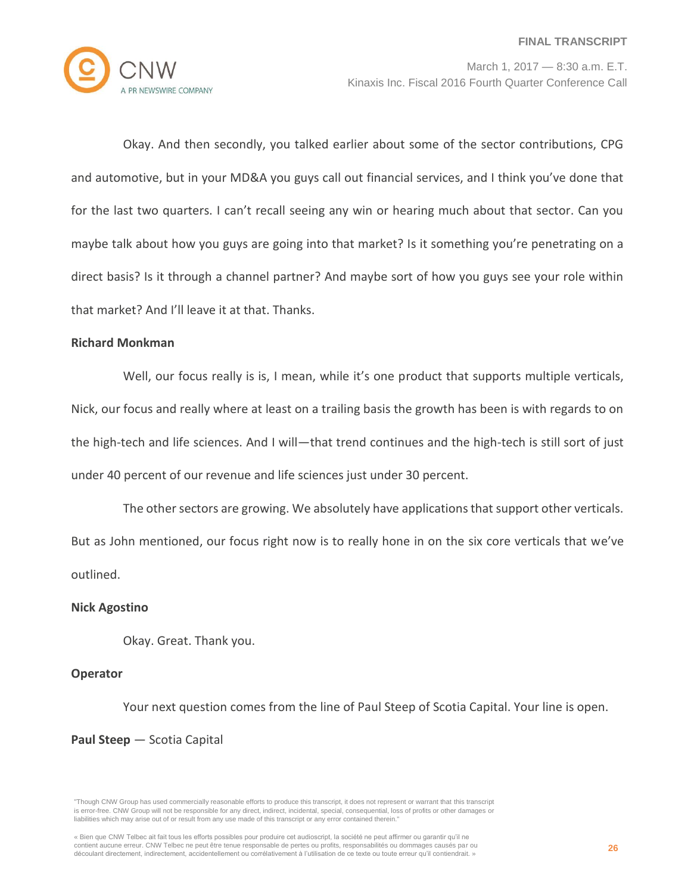

Okay. And then secondly, you talked earlier about some of the sector contributions, CPG and automotive, but in your MD&A you guys call out financial services, and I think you've done that for the last two quarters. I can't recall seeing any win or hearing much about that sector. Can you maybe talk about how you guys are going into that market? Is it something you're penetrating on a direct basis? Is it through a channel partner? And maybe sort of how you guys see your role within that market? And I'll leave it at that. Thanks.

#### **Richard Monkman**

Well, our focus really is is, I mean, while it's one product that supports multiple verticals, Nick, our focus and really where at least on a trailing basis the growth has been is with regards to on the high-tech and life sciences. And I will—that trend continues and the high-tech is still sort of just under 40 percent of our revenue and life sciences just under 30 percent.

The other sectors are growing. We absolutely have applications that support other verticals. But as John mentioned, our focus right now is to really hone in on the six core verticals that we've outlined.

#### **Nick Agostino**

Okay. Great. Thank you.

#### **Operator**

Your next question comes from the line of Paul Steep of Scotia Capital. Your line is open.

#### **Paul Steep** — Scotia Capital

<sup>«</sup> Bien que CNW Telbec ait fait tous les efforts possibles pour produire cet audioscript, la société ne peut affirmer ou garantir qu'il ne contient aucune erreur. CNW Telbec ne peut être tenue responsable de pertes ou profits, responsabilités ou dommages causés par ou découlant directement, indirectement, accidentellement ou corrélativement à l'utilisation de ce texte ou toute erreur qu'il contiendrait. »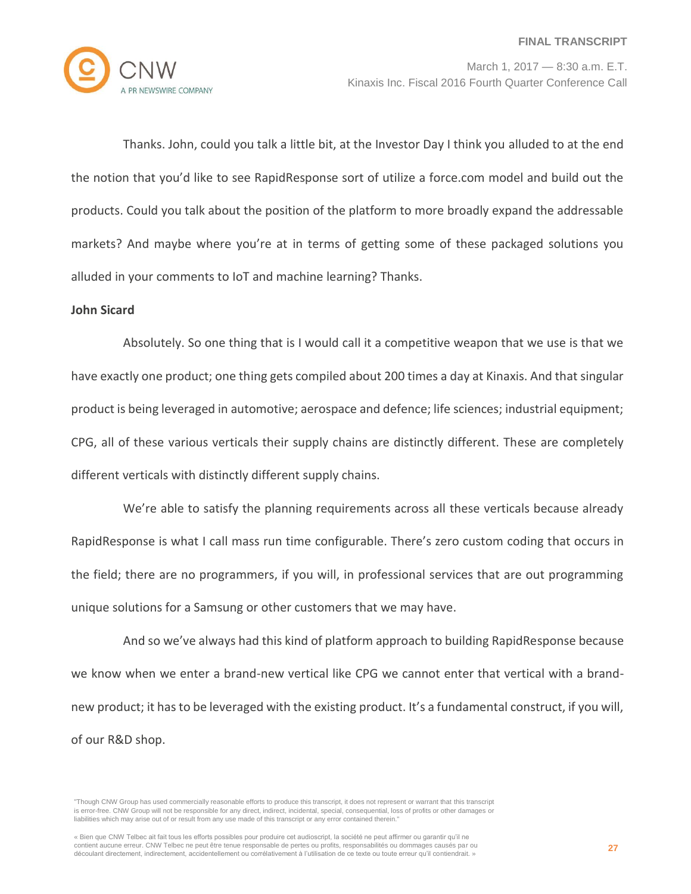

Thanks. John, could you talk a little bit, at the Investor Day I think you alluded to at the end the notion that you'd like to see RapidResponse sort of utilize a force.com model and build out the products. Could you talk about the position of the platform to more broadly expand the addressable markets? And maybe where you're at in terms of getting some of these packaged solutions you alluded in your comments to IoT and machine learning? Thanks.

## **John Sicard**

Absolutely. So one thing that is I would call it a competitive weapon that we use is that we have exactly one product; one thing gets compiled about 200 times a day at Kinaxis. And that singular product is being leveraged in automotive; aerospace and defence; life sciences; industrial equipment; CPG, all of these various verticals their supply chains are distinctly different. These are completely different verticals with distinctly different supply chains.

We're able to satisfy the planning requirements across all these verticals because already RapidResponse is what I call mass run time configurable. There's zero custom coding that occurs in the field; there are no programmers, if you will, in professional services that are out programming unique solutions for a Samsung or other customers that we may have.

And so we've always had this kind of platform approach to building RapidResponse because we know when we enter a brand-new vertical like CPG we cannot enter that vertical with a brandnew product; it has to be leveraged with the existing product. It's a fundamental construct, if you will, of our R&D shop.

<sup>&</sup>quot;Though CNW Group has used commercially reasonable efforts to produce this transcript, it does not represent or warrant that this transcript is error-free. CNW Group will not be responsible for any direct, indirect, incidental, special, consequential, loss of profits or other damages or liabilities which may arise out of or result from any use made of this transcript or any error contained therein."

<sup>«</sup> Bien que CNW Telbec ait fait tous les efforts possibles pour produire cet audioscript, la société ne peut affirmer ou garantir qu'il ne contient aucune erreur. CNW Telbec ne peut être tenue responsable de pertes ou profits, responsabilités ou dommages causés par ou découlant directement, indirectement, accidentellement ou corrélativement à l'utilisation de ce texte ou toute erreur qu'il contiendrait. »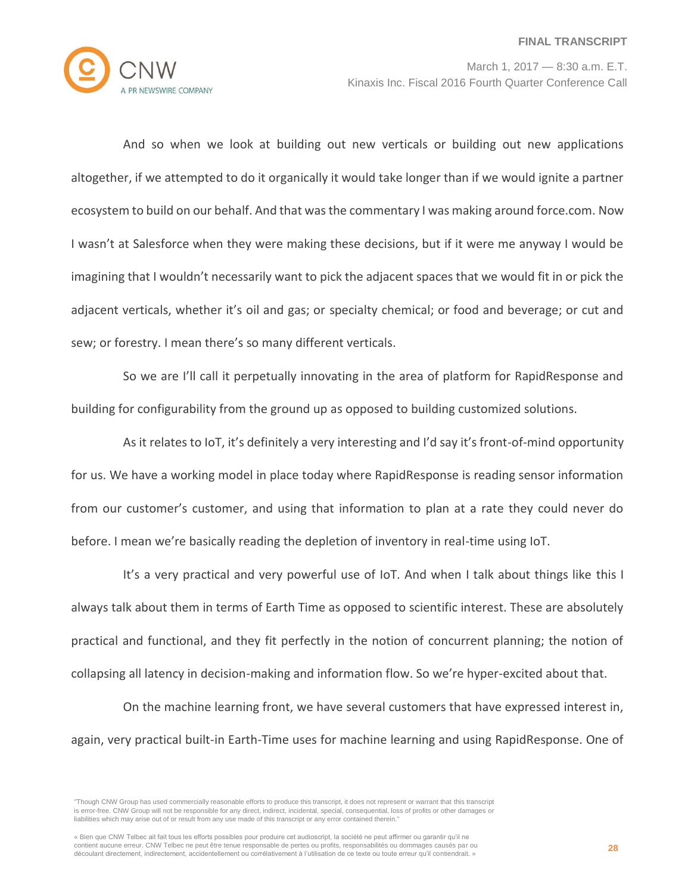

And so when we look at building out new verticals or building out new applications altogether, if we attempted to do it organically it would take longer than if we would ignite a partner ecosystem to build on our behalf. And that was the commentary I was making around force.com. Now I wasn't at Salesforce when they were making these decisions, but if it were me anyway I would be imagining that I wouldn't necessarily want to pick the adjacent spaces that we would fit in or pick the adjacent verticals, whether it's oil and gas; or specialty chemical; or food and beverage; or cut and sew; or forestry. I mean there's so many different verticals.

So we are I'll call it perpetually innovating in the area of platform for RapidResponse and building for configurability from the ground up as opposed to building customized solutions.

As it relates to IoT, it's definitely a very interesting and I'd say it's front-of-mind opportunity for us. We have a working model in place today where RapidResponse is reading sensor information from our customer's customer, and using that information to plan at a rate they could never do before. I mean we're basically reading the depletion of inventory in real-time using IoT.

It's a very practical and very powerful use of IoT. And when I talk about things like this I always talk about them in terms of Earth Time as opposed to scientific interest. These are absolutely practical and functional, and they fit perfectly in the notion of concurrent planning; the notion of collapsing all latency in decision-making and information flow. So we're hyper-excited about that.

On the machine learning front, we have several customers that have expressed interest in, again, very practical built-in Earth-Time uses for machine learning and using RapidResponse. One of

<sup>&</sup>quot;Though CNW Group has used commercially reasonable efforts to produce this transcript, it does not represent or warrant that this transcript is error-free. CNW Group will not be responsible for any direct, indirect, incidental, special, consequential, loss of profits or other damages or liabilities which may arise out of or result from any use made of this transcript or any error contained therein."

<sup>«</sup> Bien que CNW Telbec ait fait tous les efforts possibles pour produire cet audioscript, la société ne peut affirmer ou garantir qu'il ne contient aucune erreur. CNW Telbec ne peut être tenue responsable de pertes ou profits, responsabilités ou dommages causés par ou découlant directement, indirectement, accidentellement ou corrélativement à l'utilisation de ce texte ou toute erreur qu'il contiendrait. »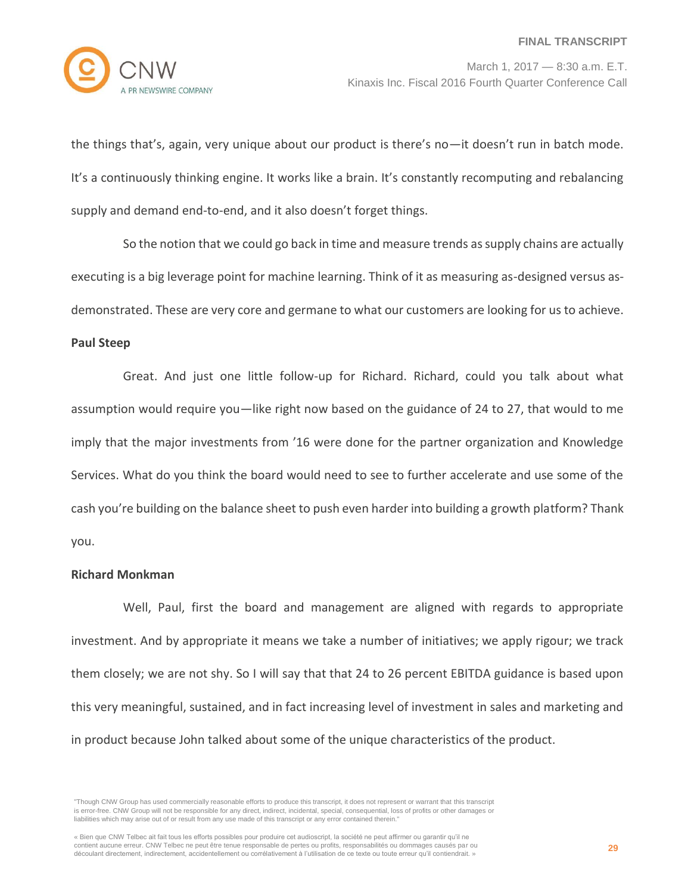

the things that's, again, very unique about our product is there's no—it doesn't run in batch mode. It's a continuously thinking engine. It works like a brain. It's constantly recomputing and rebalancing supply and demand end-to-end, and it also doesn't forget things.

So the notion that we could go back in time and measure trends as supply chains are actually executing is a big leverage point for machine learning. Think of it as measuring as-designed versus asdemonstrated. These are very core and germane to what our customers are looking for us to achieve.

#### **Paul Steep**

Great. And just one little follow-up for Richard. Richard, could you talk about what assumption would require you—like right now based on the guidance of 24 to 27, that would to me imply that the major investments from '16 were done for the partner organization and Knowledge Services. What do you think the board would need to see to further accelerate and use some of the cash you're building on the balance sheet to push even harder into building a growth platform? Thank you.

## **Richard Monkman**

Well, Paul, first the board and management are aligned with regards to appropriate investment. And by appropriate it means we take a number of initiatives; we apply rigour; we track them closely; we are not shy. So I will say that that 24 to 26 percent EBITDA guidance is based upon this very meaningful, sustained, and in fact increasing level of investment in sales and marketing and in product because John talked about some of the unique characteristics of the product.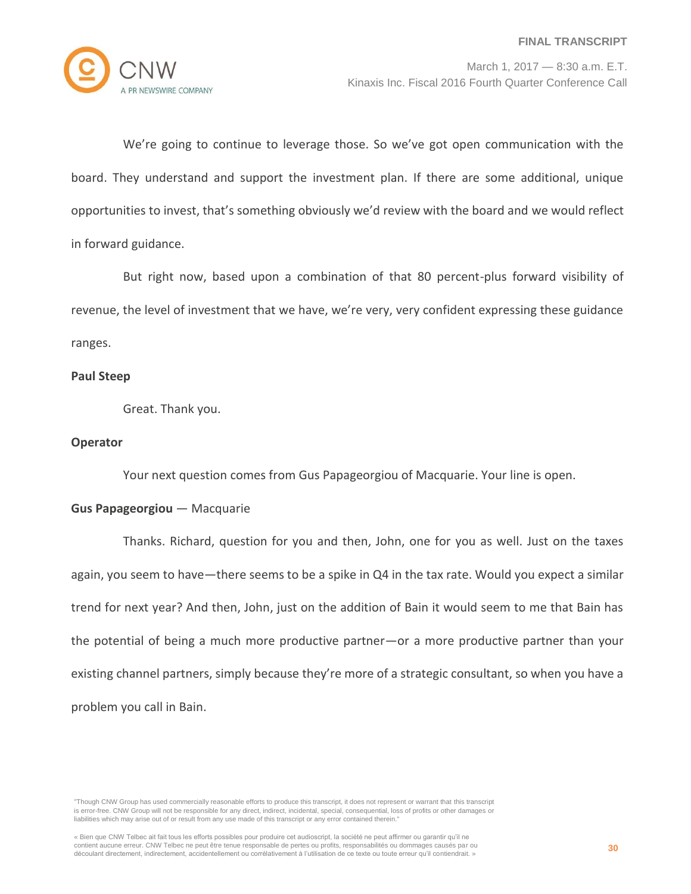

We're going to continue to leverage those. So we've got open communication with the board. They understand and support the investment plan. If there are some additional, unique opportunities to invest, that's something obviously we'd review with the board and we would reflect in forward guidance.

But right now, based upon a combination of that 80 percent-plus forward visibility of revenue, the level of investment that we have, we're very, very confident expressing these guidance ranges.

# **Paul Steep**

Great. Thank you.

## **Operator**

Your next question comes from Gus Papageorgiou of Macquarie. Your line is open.

# **Gus Papageorgiou** — Macquarie

Thanks. Richard, question for you and then, John, one for you as well. Just on the taxes again, you seem to have—there seems to be a spike in Q4 in the tax rate. Would you expect a similar trend for next year? And then, John, just on the addition of Bain it would seem to me that Bain has the potential of being a much more productive partner—or a more productive partner than your existing channel partners, simply because they're more of a strategic consultant, so when you have a problem you call in Bain.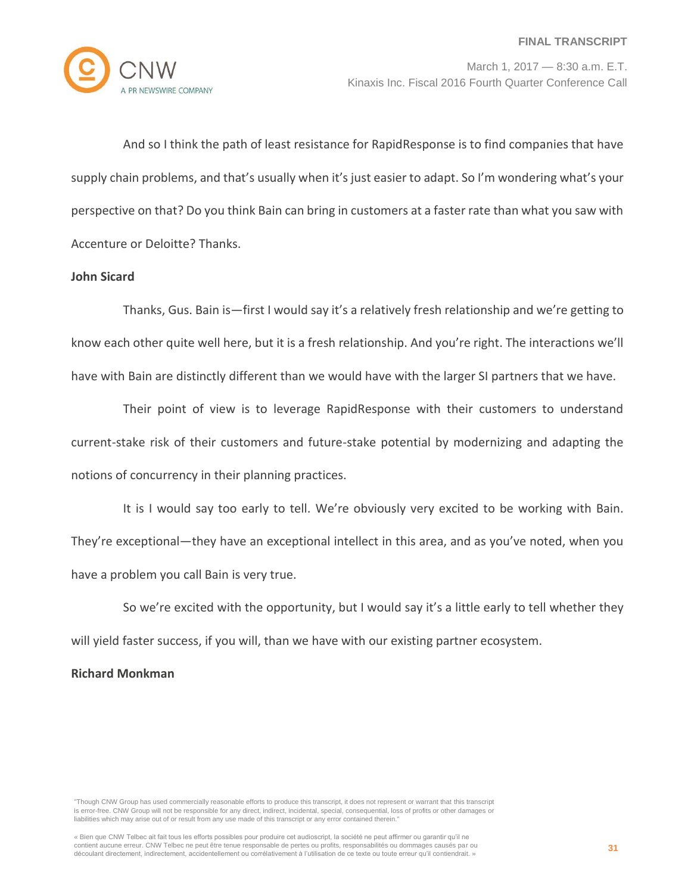

And so I think the path of least resistance for RapidResponse is to find companies that have supply chain problems, and that's usually when it's just easier to adapt. So I'm wondering what's your perspective on that? Do you think Bain can bring in customers at a faster rate than what you saw with Accenture or Deloitte? Thanks.

# **John Sicard**

Thanks, Gus. Bain is—first I would say it's a relatively fresh relationship and we're getting to know each other quite well here, but it is a fresh relationship. And you're right. The interactions we'll have with Bain are distinctly different than we would have with the larger SI partners that we have.

Their point of view is to leverage RapidResponse with their customers to understand current-stake risk of their customers and future-stake potential by modernizing and adapting the notions of concurrency in their planning practices.

It is I would say too early to tell. We're obviously very excited to be working with Bain. They're exceptional—they have an exceptional intellect in this area, and as you've noted, when you have a problem you call Bain is very true.

So we're excited with the opportunity, but I would say it's a little early to tell whether they will yield faster success, if you will, than we have with our existing partner ecosystem.

# **Richard Monkman**

"Though CNW Group has used commercially reasonable efforts to produce this transcript, it does not represent or warrant that this transcript is error-free. CNW Group will not be responsible for any direct, indirect, incidental, special, consequential, loss of profits or other damages or liabilities which may arise out of or result from any use made of this transcript or any error contained therein."

« Bien que CNW Telbec ait fait tous les efforts possibles pour produire cet audioscript, la société ne peut affirmer ou garantir qu'il ne contient aucune erreur. CNW Telbec ne peut être tenue responsable de pertes ou profits, responsabilités ou dommages causés par ou découlant directement, indirectement, accidentellement ou corrélativement à l'utilisation de ce texte ou toute erreur qu'il contiendrait. »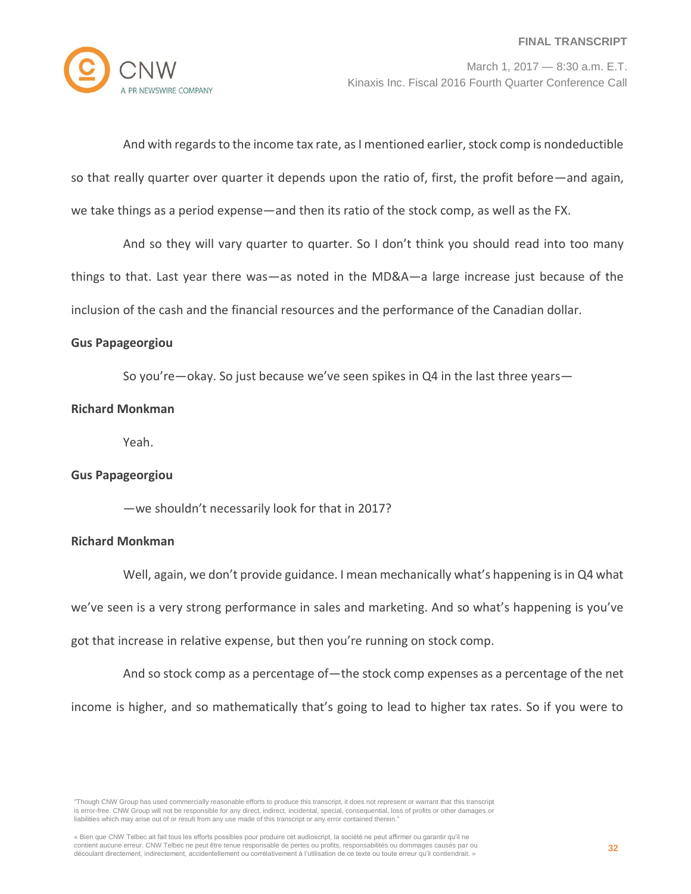And with regards to the income tax rate, as I mentioned earlier, stock comp is nondeductible so that really quarter over quarter it depends upon the ratio of, first, the profit before—and again, we take things as a period expense—and then its ratio of the stock comp, as well as the FX.

And so they will vary quarter to quarter. So I don't think you should read into too many things to that. Last year there was—as noted in the MD&A—a large increase just because of the inclusion of the cash and the financial resources and the performance of the Canadian dollar.

#### **Gus Papageorgiou**

So you're—okay. So just because we've seen spikes in Q4 in the last three years—

#### **Richard Monkman**

Yeah.

## **Gus Papageorgiou**

—we shouldn't necessarily look for that in 2017?

## **Richard Monkman**

Well, again, we don't provide guidance. I mean mechanically what's happening is in Q4 what we've seen is a very strong performance in sales and marketing. And so what's happening is you've got that increase in relative expense, but then you're running on stock comp.

And so stock comp as a percentage of—the stock comp expenses as a percentage of the net income is higher, and so mathematically that's going to lead to higher tax rates. So if you were to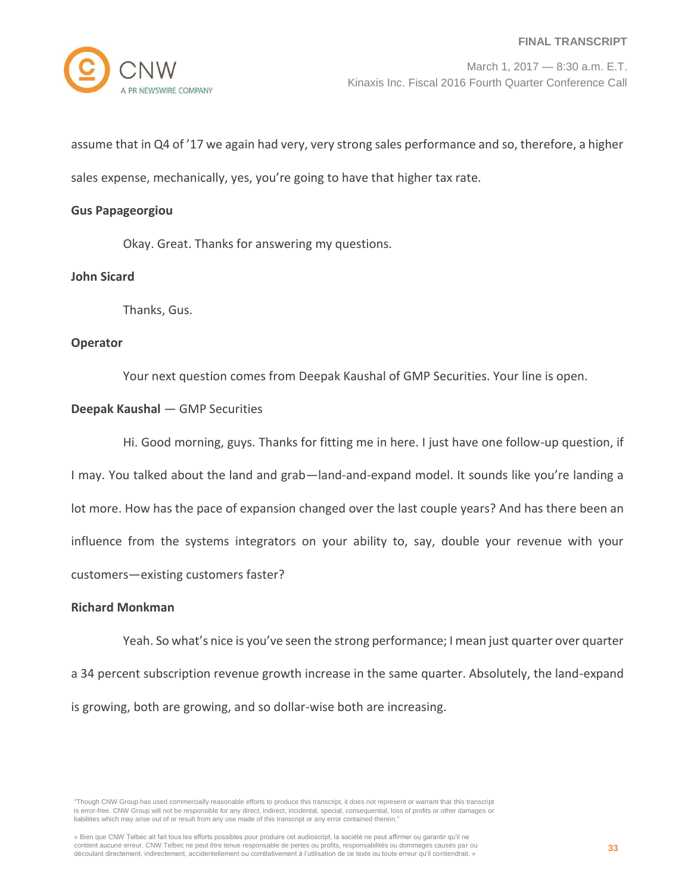

assume that in Q4 of '17 we again had very, very strong sales performance and so, therefore, a higher sales expense, mechanically, yes, you're going to have that higher tax rate.

#### **Gus Papageorgiou**

Okay. Great. Thanks for answering my questions.

# **John Sicard**

Thanks, Gus.

#### **Operator**

Your next question comes from Deepak Kaushal of GMP Securities. Your line is open.

## **Deepak Kaushal** — GMP Securities

Hi. Good morning, guys. Thanks for fitting me in here. I just have one follow-up question, if I may. You talked about the land and grab—land-and-expand model. It sounds like you're landing a lot more. How has the pace of expansion changed over the last couple years? And has there been an influence from the systems integrators on your ability to, say, double your revenue with your customers—existing customers faster?

## **Richard Monkman**

Yeah. So what's nice is you've seen the strong performance; I mean just quarter over quarter a 34 percent subscription revenue growth increase in the same quarter. Absolutely, the land-expand is growing, both are growing, and so dollar-wise both are increasing.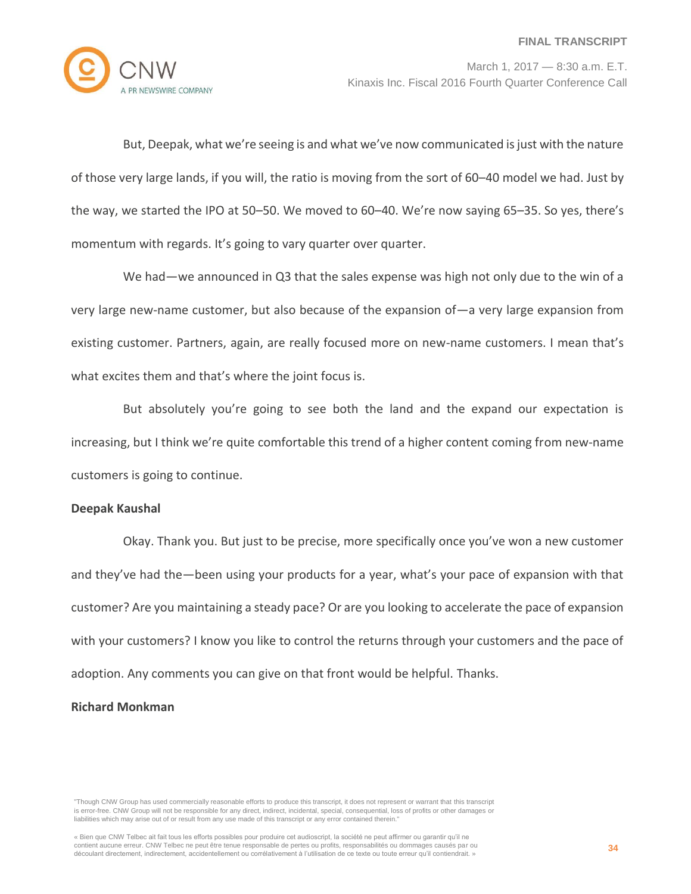

But, Deepak, what we're seeing is and what we've now communicated is just with the nature of those very large lands, if you will, the ratio is moving from the sort of 60–40 model we had. Just by the way, we started the IPO at 50–50. We moved to 60–40. We're now saying 65–35. So yes, there's momentum with regards. It's going to vary quarter over quarter.

We had—we announced in Q3 that the sales expense was high not only due to the win of a very large new-name customer, but also because of the expansion of—a very large expansion from existing customer. Partners, again, are really focused more on new-name customers. I mean that's what excites them and that's where the joint focus is.

But absolutely you're going to see both the land and the expand our expectation is increasing, but I think we're quite comfortable this trend of a higher content coming from new-name customers is going to continue.

## **Deepak Kaushal**

Okay. Thank you. But just to be precise, more specifically once you've won a new customer and they've had the—been using your products for a year, what's your pace of expansion with that customer? Are you maintaining a steady pace? Or are you looking to accelerate the pace of expansion with your customers? I know you like to control the returns through your customers and the pace of adoption. Any comments you can give on that front would be helpful. Thanks.

# **Richard Monkman**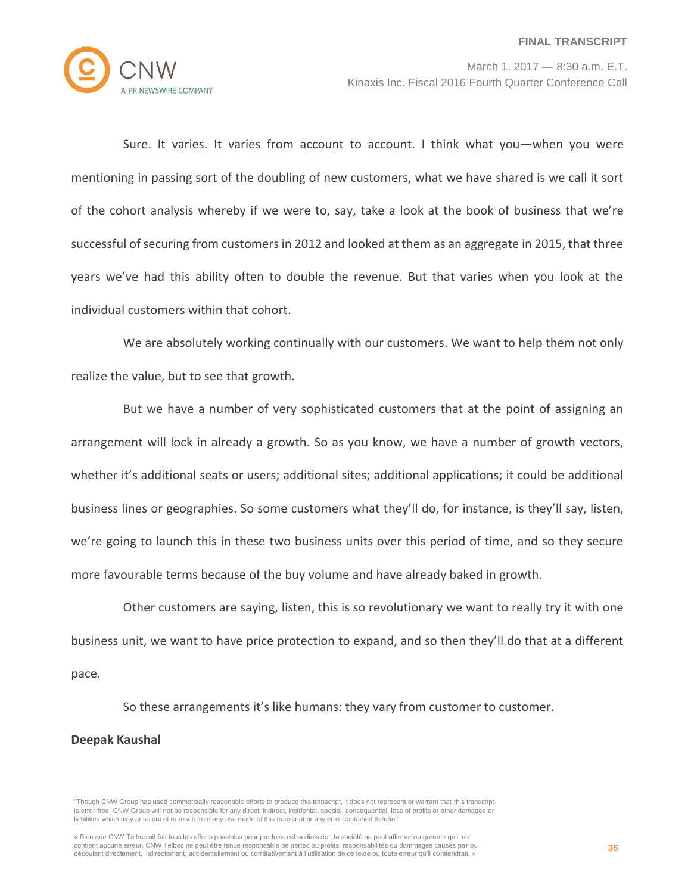

Sure. It varies. It varies from account to account. I think what you—when you were mentioning in passing sort of the doubling of new customers, what we have shared is we call it sort of the cohort analysis whereby if we were to, say, take a look at the book of business that we're successful of securing from customers in 2012 and looked at them as an aggregate in 2015, that three years we've had this ability often to double the revenue. But that varies when you look at the individual customers within that cohort.

We are absolutely working continually with our customers. We want to help them not only realize the value, but to see that growth.

But we have a number of very sophisticated customers that at the point of assigning an arrangement will lock in already a growth. So as you know, we have a number of growth vectors, whether it's additional seats or users; additional sites; additional applications; it could be additional business lines or geographies. So some customers what they'll do, for instance, is they'll say, listen, we're going to launch this in these two business units over this period of time, and so they secure more favourable terms because of the buy volume and have already baked in growth.

Other customers are saying, listen, this is so revolutionary we want to really try it with one business unit, we want to have price protection to expand, and so then they'll do that at a different pace.

So these arrangements it's like humans: they vary from customer to customer.

#### **Deepak Kaushal**

<sup>&</sup>quot;Though CNW Group has used commercially reasonable efforts to produce this transcript, it does not represent or warrant that this transcript is error-free. CNW Group will not be responsible for any direct, indirect, incidental, special, consequential, loss of profits or other damages or liabilities which may arise out of or result from any use made of this transcript or any error contained therein."

<sup>«</sup> Bien que CNW Telbec ait fait tous les efforts possibles pour produire cet audioscript, la société ne peut affirmer ou garantir qu'il ne contient aucune erreur. CNW Telbec ne peut être tenue responsable de pertes ou profits, responsabilités ou dommages causés par ou découlant directement, indirectement, accidentellement ou corrélativement à l'utilisation de ce texte ou toute erreur qu'il contiendrait. »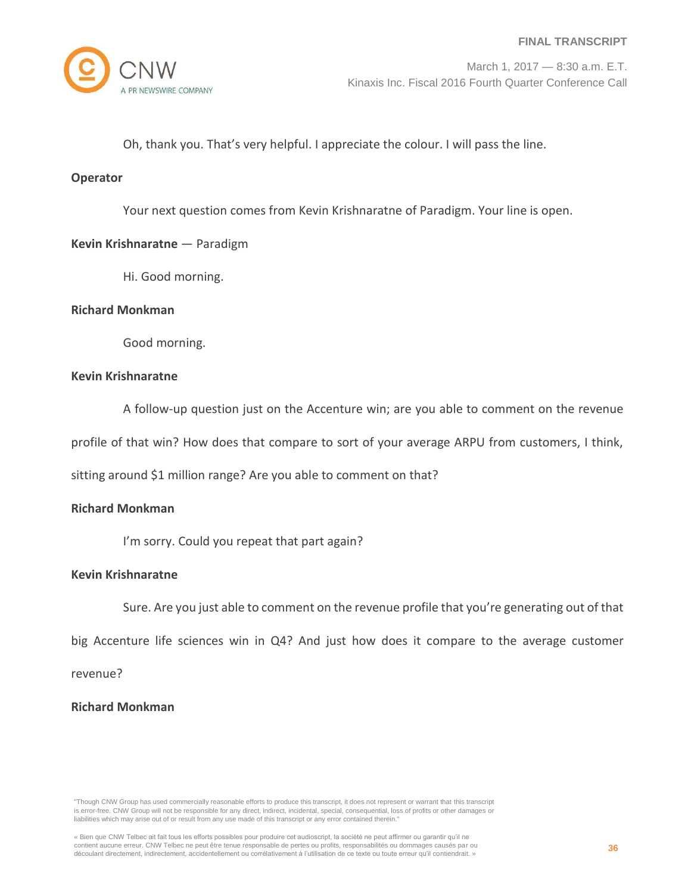

Oh, thank you. That's very helpful. I appreciate the colour. I will pass the line.

## **Operator**

Your next question comes from Kevin Krishnaratne of Paradigm. Your line is open.

# **Kevin Krishnaratne** — Paradigm

Hi. Good morning.

## **Richard Monkman**

Good morning.

## **Kevin Krishnaratne**

A follow-up question just on the Accenture win; are you able to comment on the revenue

profile of that win? How does that compare to sort of your average ARPU from customers, I think,

sitting around \$1 million range? Are you able to comment on that?

# **Richard Monkman**

I'm sorry. Could you repeat that part again?

## **Kevin Krishnaratne**

Sure. Are you just able to comment on the revenue profile that you're generating out of that

big Accenture life sciences win in Q4? And just how does it compare to the average customer

revenue?

## **Richard Monkman**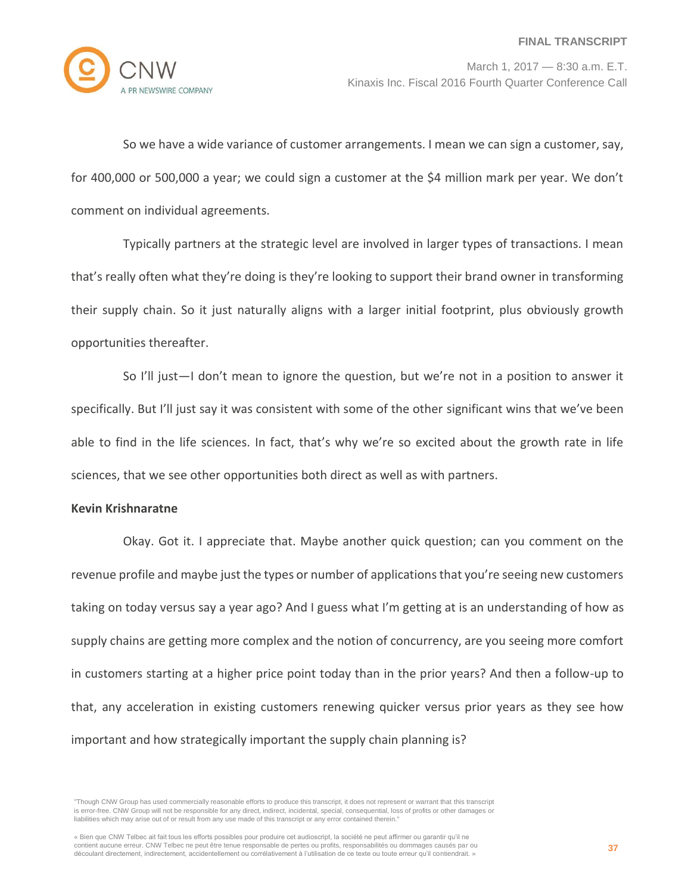

So we have a wide variance of customer arrangements. I mean we can sign a customer, say, for 400,000 or 500,000 a year; we could sign a customer at the \$4 million mark per year. We don't comment on individual agreements.

Typically partners at the strategic level are involved in larger types of transactions. I mean that's really often what they're doing is they're looking to support their brand owner in transforming their supply chain. So it just naturally aligns with a larger initial footprint, plus obviously growth opportunities thereafter.

So I'll just—I don't mean to ignore the question, but we're not in a position to answer it specifically. But I'll just say it was consistent with some of the other significant wins that we've been able to find in the life sciences. In fact, that's why we're so excited about the growth rate in life sciences, that we see other opportunities both direct as well as with partners.

# **Kevin Krishnaratne**

Okay. Got it. I appreciate that. Maybe another quick question; can you comment on the revenue profile and maybe just the types or number of applications that you're seeing new customers taking on today versus say a year ago? And I guess what I'm getting at is an understanding of how as supply chains are getting more complex and the notion of concurrency, are you seeing more comfort in customers starting at a higher price point today than in the prior years? And then a follow-up to that, any acceleration in existing customers renewing quicker versus prior years as they see how important and how strategically important the supply chain planning is?

<sup>«</sup> Bien que CNW Telbec ait fait tous les efforts possibles pour produire cet audioscript, la société ne peut affirmer ou garantir qu'il ne contient aucune erreur. CNW Telbec ne peut être tenue responsable de pertes ou profits, responsabilités ou dommages causés par ou découlant directement, indirectement, accidentellement ou corrélativement à l'utilisation de ce texte ou toute erreur qu'il contiendrait. »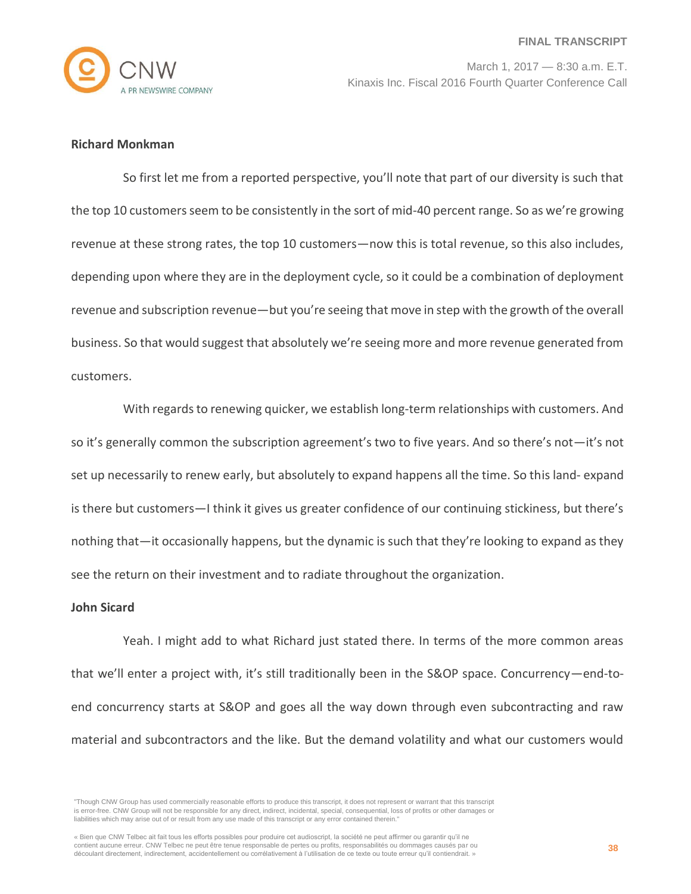

# **Richard Monkman**

So first let me from a reported perspective, you'll note that part of our diversity is such that the top 10 customers seem to be consistently in the sort of mid-40 percent range. So as we're growing revenue at these strong rates, the top 10 customers—now this is total revenue, so this also includes, depending upon where they are in the deployment cycle, so it could be a combination of deployment revenue and subscription revenue—but you're seeing that move in step with the growth of the overall business. So that would suggest that absolutely we're seeing more and more revenue generated from customers.

With regards to renewing quicker, we establish long-term relationships with customers. And so it's generally common the subscription agreement's two to five years. And so there's not—it's not set up necessarily to renew early, but absolutely to expand happens all the time. So this land- expand is there but customers—I think it gives us greater confidence of our continuing stickiness, but there's nothing that—it occasionally happens, but the dynamic is such that they're looking to expand as they see the return on their investment and to radiate throughout the organization.

## **John Sicard**

Yeah. I might add to what Richard just stated there. In terms of the more common areas that we'll enter a project with, it's still traditionally been in the S&OP space. Concurrency—end-toend concurrency starts at S&OP and goes all the way down through even subcontracting and raw material and subcontractors and the like. But the demand volatility and what our customers would

<sup>&</sup>quot;Though CNW Group has used commercially reasonable efforts to produce this transcript, it does not represent or warrant that this transcript is error-free. CNW Group will not be responsible for any direct, indirect, incidental, special, consequential, loss of profits or other damages or liabilities which may arise out of or result from any use made of this transcript or any error contained therein."

<sup>«</sup> Bien que CNW Telbec ait fait tous les efforts possibles pour produire cet audioscript, la société ne peut affirmer ou garantir qu'il ne contient aucune erreur. CNW Telbec ne peut être tenue responsable de pertes ou profits, responsabilités ou dommages causés par ou découlant directement, indirectement, accidentellement ou corrélativement à l'utilisation de ce texte ou toute erreur qu'il contiendrait. »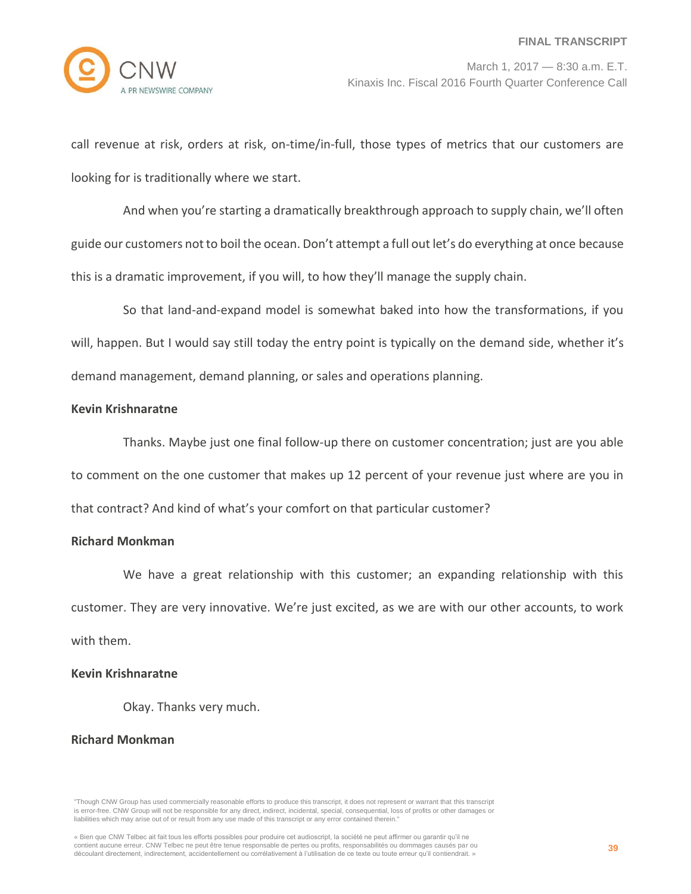

call revenue at risk, orders at risk, on-time/in-full, those types of metrics that our customers are looking for is traditionally where we start.

And when you're starting a dramatically breakthrough approach to supply chain, we'll often guide our customers not to boil the ocean. Don't attempt a full out let's do everything at once because this is a dramatic improvement, if you will, to how they'll manage the supply chain.

So that land-and-expand model is somewhat baked into how the transformations, if you will, happen. But I would say still today the entry point is typically on the demand side, whether it's demand management, demand planning, or sales and operations planning.

# **Kevin Krishnaratne**

Thanks. Maybe just one final follow-up there on customer concentration; just are you able to comment on the one customer that makes up 12 percent of your revenue just where are you in that contract? And kind of what's your comfort on that particular customer?

## **Richard Monkman**

We have a great relationship with this customer; an expanding relationship with this customer. They are very innovative. We're just excited, as we are with our other accounts, to work with them.

## **Kevin Krishnaratne**

Okay. Thanks very much.

## **Richard Monkman**

<sup>«</sup> Bien que CNW Telbec ait fait tous les efforts possibles pour produire cet audioscript, la société ne peut affirmer ou garantir qu'il ne contient aucune erreur. CNW Telbec ne peut être tenue responsable de pertes ou profits, responsabilités ou dommages causés par ou découlant directement, indirectement, accidentellement ou corrélativement à l'utilisation de ce texte ou toute erreur qu'il contiendrait. »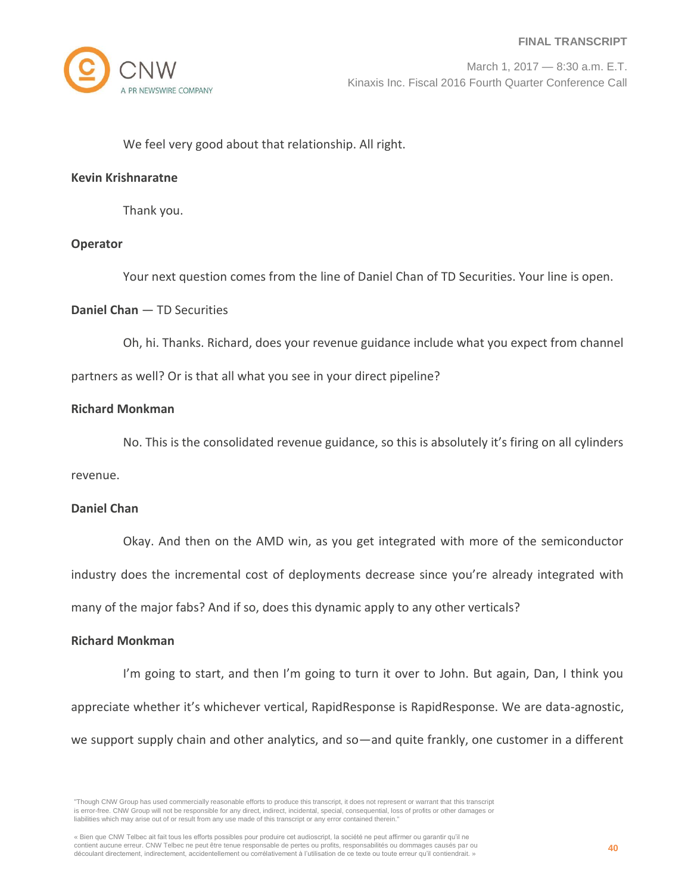

We feel very good about that relationship. All right.

## **Kevin Krishnaratne**

Thank you.

## **Operator**

Your next question comes from the line of Daniel Chan of TD Securities. Your line is open.

## **Daniel Chan** — TD Securities

Oh, hi. Thanks. Richard, does your revenue guidance include what you expect from channel partners as well? Or is that all what you see in your direct pipeline?

# **Richard Monkman**

No. This is the consolidated revenue guidance, so this is absolutely it's firing on all cylinders

revenue.

## **Daniel Chan**

Okay. And then on the AMD win, as you get integrated with more of the semiconductor

industry does the incremental cost of deployments decrease since you're already integrated with

many of the major fabs? And if so, does this dynamic apply to any other verticals?

## **Richard Monkman**

I'm going to start, and then I'm going to turn it over to John. But again, Dan, I think you appreciate whether it's whichever vertical, RapidResponse is RapidResponse. We are data-agnostic, we support supply chain and other analytics, and so—and quite frankly, one customer in a different

<sup>&</sup>quot;Though CNW Group has used commercially reasonable efforts to produce this transcript, it does not represent or warrant that this transcript is error-free. CNW Group will not be responsible for any direct, indirect, incidental, special, consequential, loss of profits or other damages or liabilities which may arise out of or result from any use made of this transcript or any error contained therein."

<sup>«</sup> Bien que CNW Telbec ait fait tous les efforts possibles pour produire cet audioscript, la société ne peut affirmer ou garantir qu'il ne contient aucune erreur. CNW Telbec ne peut être tenue responsable de pertes ou profits, responsabilités ou dommages causés par ou découlant directement, indirectement, accidentellement ou corrélativement à l'utilisation de ce texte ou toute erreur qu'il contiendrait. »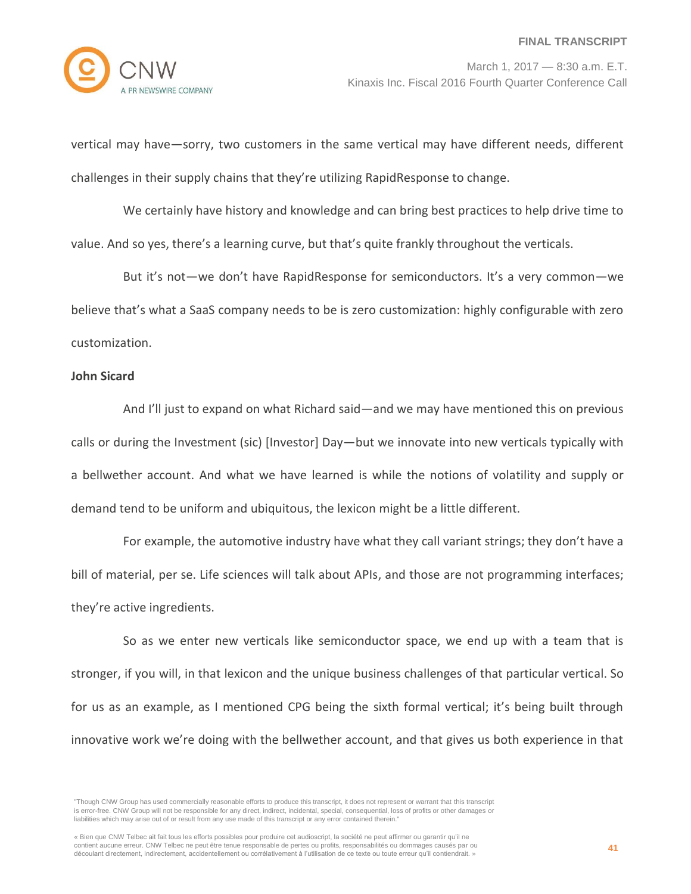vertical may have—sorry, two customers in the same vertical may have different needs, different challenges in their supply chains that they're utilizing RapidResponse to change.

We certainly have history and knowledge and can bring best practices to help drive time to value. And so yes, there's a learning curve, but that's quite frankly throughout the verticals.

But it's not—we don't have RapidResponse for semiconductors. It's a very common—we believe that's what a SaaS company needs to be is zero customization: highly configurable with zero customization.

#### **John Sicard**

And I'll just to expand on what Richard said—and we may have mentioned this on previous calls or during the Investment (sic) [Investor] Day—but we innovate into new verticals typically with a bellwether account. And what we have learned is while the notions of volatility and supply or demand tend to be uniform and ubiquitous, the lexicon might be a little different.

For example, the automotive industry have what they call variant strings; they don't have a bill of material, per se. Life sciences will talk about APIs, and those are not programming interfaces; they're active ingredients.

So as we enter new verticals like semiconductor space, we end up with a team that is stronger, if you will, in that lexicon and the unique business challenges of that particular vertical. So for us as an example, as I mentioned CPG being the sixth formal vertical; it's being built through innovative work we're doing with the bellwether account, and that gives us both experience in that

<sup>&</sup>quot;Though CNW Group has used commercially reasonable efforts to produce this transcript, it does not represent or warrant that this transcript is error-free. CNW Group will not be responsible for any direct, indirect, incidental, special, consequential, loss of profits or other damages or liabilities which may arise out of or result from any use made of this transcript or any error contained therein."

<sup>«</sup> Bien que CNW Telbec ait fait tous les efforts possibles pour produire cet audioscript, la société ne peut affirmer ou garantir qu'il ne contient aucune erreur. CNW Telbec ne peut être tenue responsable de pertes ou profits, responsabilités ou dommages causés par ou découlant directement, indirectement, accidentellement ou corrélativement à l'utilisation de ce texte ou toute erreur qu'il contiendrait. »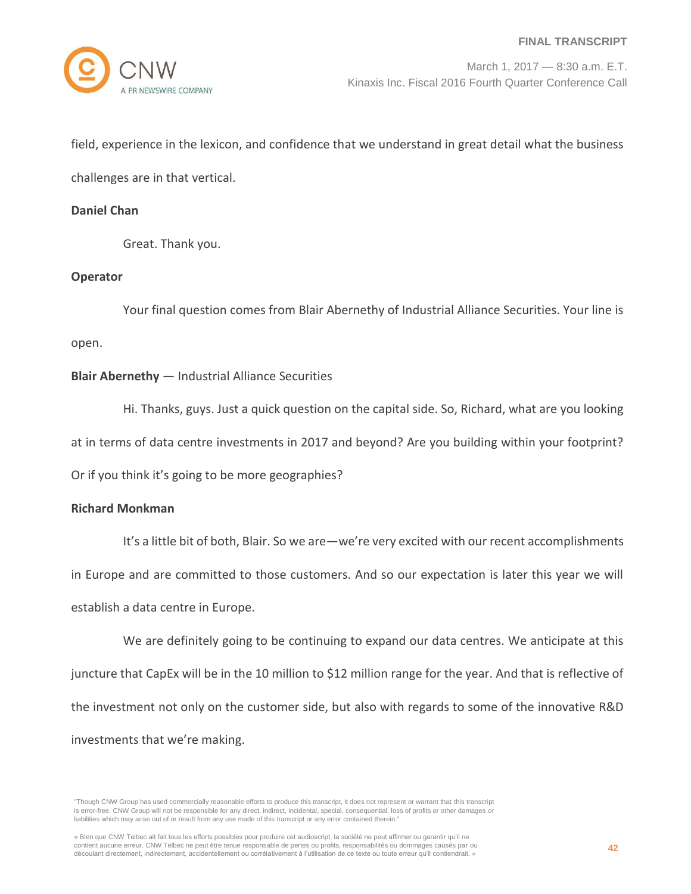field, experience in the lexicon, and confidence that we understand in great detail what the business challenges are in that vertical.

# **Daniel Chan**

Great. Thank you.

# **Operator**

Your final question comes from Blair Abernethy of Industrial Alliance Securities. Your line is open.

# **Blair Abernethy** — Industrial Alliance Securities

Hi. Thanks, guys. Just a quick question on the capital side. So, Richard, what are you looking at in terms of data centre investments in 2017 and beyond? Are you building within your footprint? Or if you think it's going to be more geographies?

## **Richard Monkman**

It's a little bit of both, Blair. So we are—we're very excited with our recent accomplishments in Europe and are committed to those customers. And so our expectation is later this year we will establish a data centre in Europe.

We are definitely going to be continuing to expand our data centres. We anticipate at this juncture that CapEx will be in the 10 million to \$12 million range for the year. And that is reflective of the investment not only on the customer side, but also with regards to some of the innovative R&D investments that we're making.

<sup>&</sup>quot;Though CNW Group has used commercially reasonable efforts to produce this transcript, it does not represent or warrant that this transcript is error-free. CNW Group will not be responsible for any direct, indirect, incidental, special, consequential, loss of profits or other damages or liabilities which may arise out of or result from any use made of this transcript or any error contained therein."

<sup>«</sup> Bien que CNW Telbec ait fait tous les efforts possibles pour produire cet audioscript, la société ne peut affirmer ou garantir qu'il ne contient aucune erreur. CNW Telbec ne peut être tenue responsable de pertes ou profits, responsabilités ou dommages causés par ou découlant directement, indirectement, accidentellement ou corrélativement à l'utilisation de ce texte ou toute erreur qu'il contiendrait. »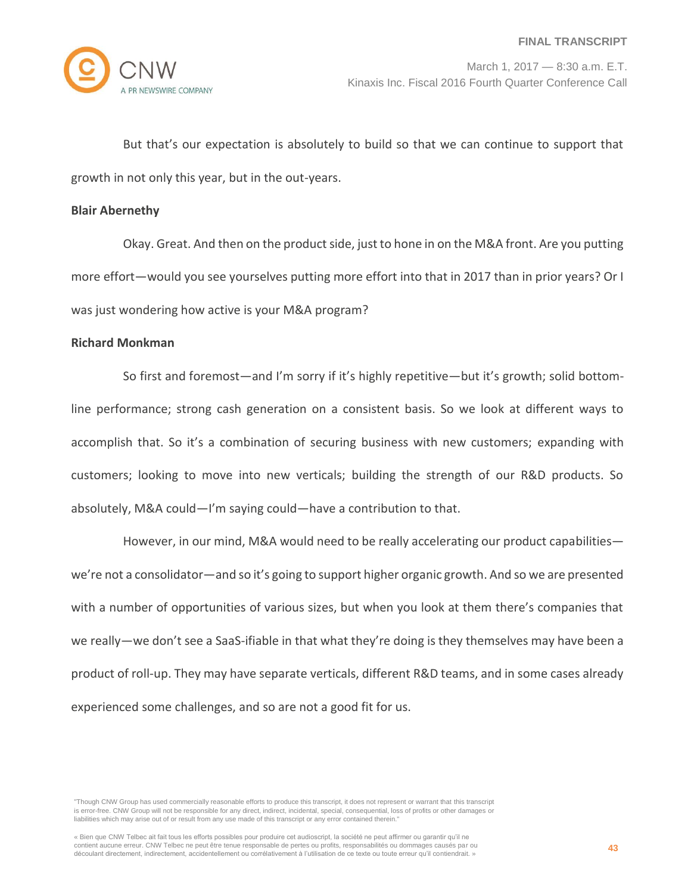

But that's our expectation is absolutely to build so that we can continue to support that growth in not only this year, but in the out-years.

#### **Blair Abernethy**

Okay. Great. And then on the product side, just to hone in on the M&A front. Are you putting more effort—would you see yourselves putting more effort into that in 2017 than in prior years? Or I was just wondering how active is your M&A program?

# **Richard Monkman**

So first and foremost—and I'm sorry if it's highly repetitive—but it's growth; solid bottomline performance; strong cash generation on a consistent basis. So we look at different ways to accomplish that. So it's a combination of securing business with new customers; expanding with customers; looking to move into new verticals; building the strength of our R&D products. So absolutely, M&A could—I'm saying could—have a contribution to that.

However, in our mind, M&A would need to be really accelerating our product capabilities we're not a consolidator—and so it's going to support higher organic growth. And so we are presented with a number of opportunities of various sizes, but when you look at them there's companies that we really—we don't see a SaaS-ifiable in that what they're doing is they themselves may have been a product of roll-up. They may have separate verticals, different R&D teams, and in some cases already experienced some challenges, and so are not a good fit for us.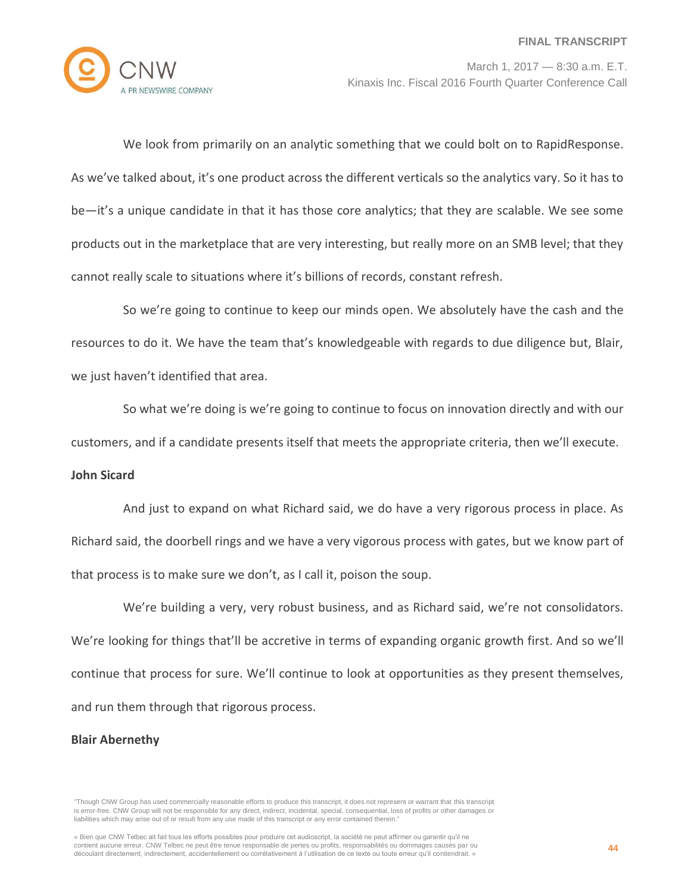

We look from primarily on an analytic something that we could bolt on to RapidResponse. As we've talked about, it's one product across the different verticals so the analytics vary. So it has to be—it's a unique candidate in that it has those core analytics; that they are scalable. We see some products out in the marketplace that are very interesting, but really more on an SMB level; that they cannot really scale to situations where it's billions of records, constant refresh.

So we're going to continue to keep our minds open. We absolutely have the cash and the resources to do it. We have the team that's knowledgeable with regards to due diligence but, Blair, we just haven't identified that area.

So what we're doing is we're going to continue to focus on innovation directly and with our customers, and if a candidate presents itself that meets the appropriate criteria, then we'll execute.

## **John Sicard**

And just to expand on what Richard said, we do have a very rigorous process in place. As Richard said, the doorbell rings and we have a very vigorous process with gates, but we know part of that process is to make sure we don't, as I call it, poison the soup.

We're building a very, very robust business, and as Richard said, we're not consolidators. We're looking for things that'll be accretive in terms of expanding organic growth first. And so we'll continue that process for sure. We'll continue to look at opportunities as they present themselves, and run them through that rigorous process.

#### **Blair Abernethy**

<sup>&</sup>quot;Though CNW Group has used commercially reasonable efforts to produce this transcript, it does not represent or warrant that this transcript is error-free. CNW Group will not be responsible for any direct, indirect, incidental, special, consequential, loss of profits or other damages or liabilities which may arise out of or result from any use made of this transcript or any error contained therein."

<sup>«</sup> Bien que CNW Telbec ait fait tous les efforts possibles pour produire cet audioscript, la société ne peut affirmer ou garantir qu'il ne contient aucune erreur. CNW Telbec ne peut être tenue responsable de pertes ou profits, responsabilités ou dommages causés par ou découlant directement, indirectement, accidentellement ou corrélativement à l'utilisation de ce texte ou toute erreur qu'il contiendrait. »